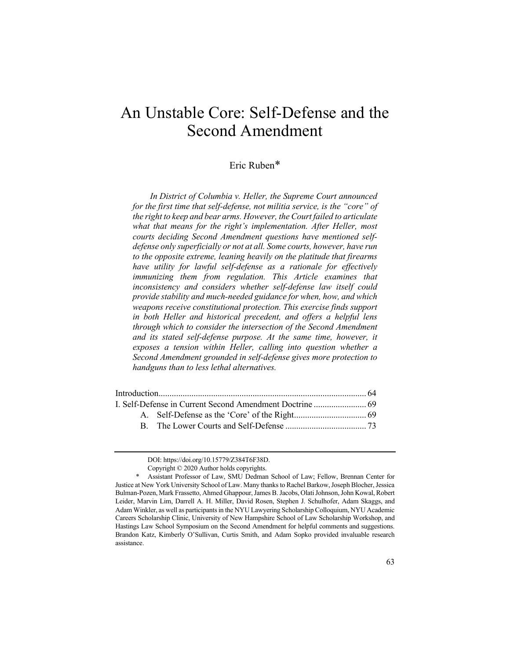# An Unstable Core: Self-Defense and the Second Amendment

## Eric Ruben\*

*In District of Columbia v. Heller, the Supreme Court announced for the first time that self-defense, not militia service, is the "core" of the right to keep and bear arms. However, the Court failed to articulate*  what that means for the right's implementation. After Heller, most *courts deciding Second Amendment questions have mentioned selfdefense only superficially or not at all. Some courts, however, have run to the opposite extreme, leaning heavily on the platitude that firearms have utility for lawful self-defense as a rationale for effectively immunizing them from regulation. This Article examines that inconsistency and considers whether self-defense law itself could provide stability and much-needed guidance for when, how, and which weapons receive constitutional protection. This exercise finds support in both Heller and historical precedent, and offers a helpful lens through which to consider the intersection of the Second Amendment and its stated self-defense purpose. At the same time, however, it exposes a tension within Heller, calling into question whether a Second Amendment grounded in self-defense gives more protection to handguns than to less lethal alternatives.*

DOI: https://doi.org/10.15779/Z384T6F38D.

Copyright © 2020 Author holds copyrights.

Assistant Professor of Law, SMU Dedman School of Law; Fellow, Brennan Center for Justice at New York University School of Law. Many thanks to Rachel Barkow, Joseph Blocher, Jessica Bulman-Pozen, Mark Frassetto, Ahmed Ghappour, James B. Jacobs, Olati Johnson, John Kowal, Robert Leider, Marvin Lim, Darrell A. H. Miller, David Rosen, Stephen J. Schulhofer, Adam Skaggs, and Adam Winkler, as well as participants in the NYU Lawyering Scholarship Colloquium, NYU Academic Careers Scholarship Clinic, University of New Hampshire School of Law Scholarship Workshop, and Hastings Law School Symposium on the Second Amendment for helpful comments and suggestions. Brandon Katz, Kimberly O'Sullivan, Curtis Smith, and Adam Sopko provided invaluable research assistance.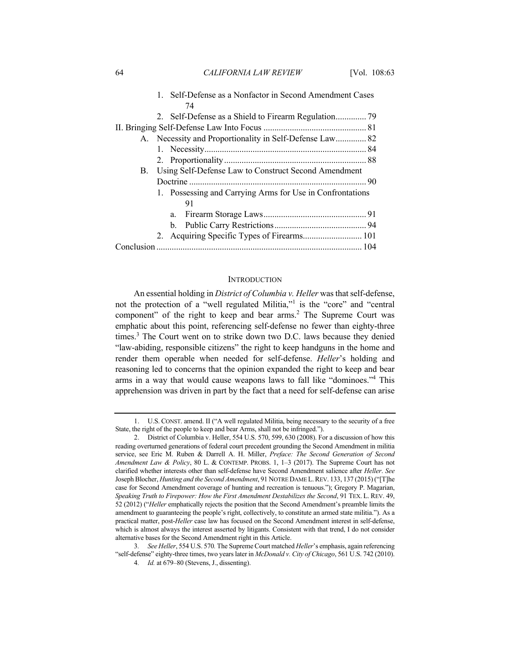64 *CALIFORNIA LAW REVIEW* [Vol. 108:63

|    | 1. Self-Defense as a Nonfactor in Second Amendment Cases  |  |  |  |
|----|-----------------------------------------------------------|--|--|--|
|    | 74                                                        |  |  |  |
|    |                                                           |  |  |  |
|    |                                                           |  |  |  |
|    | A. Necessity and Proportionality in Self-Defense Law 82   |  |  |  |
|    |                                                           |  |  |  |
|    |                                                           |  |  |  |
|    | B. Using Self-Defense Law to Construct Second Amendment   |  |  |  |
|    |                                                           |  |  |  |
|    | 1. Possessing and Carrying Arms for Use in Confrontations |  |  |  |
|    | 91                                                        |  |  |  |
| a. |                                                           |  |  |  |
|    |                                                           |  |  |  |
|    | 2. Acquiring Specific Types of Firearms 101               |  |  |  |
|    |                                                           |  |  |  |

## **INTRODUCTION**

An essential holding in *District of Columbia v. Heller* was that self-defense, not the protection of a "well regulated Militia,"<sup>1</sup> is the "core" and "central component" of the right to keep and bear  $arms<sup>2</sup>$ . The Supreme Court was emphatic about this point, referencing self-defense no fewer than eighty-three times.<sup>3</sup> The Court went on to strike down two D.C. laws because they denied "law-abiding, responsible citizens" the right to keep handguns in the home and render them operable when needed for self-defense. *Heller*'s holding and reasoning led to concerns that the opinion expanded the right to keep and bear arms in a way that would cause weapons laws to fall like "dominoes."<sup>4</sup> This apprehension was driven in part by the fact that a need for self-defense can arise

<sup>1.</sup> U.S. CONST. amend. II ("A well regulated Militia, being necessary to the security of a free State, the right of the people to keep and bear Arms, shall not be infringed.").

<sup>2.</sup> District of Columbia v. Heller, 554 U.S. 570, 599, 630 (2008). For a discussion of how this reading overturned generations of federal court precedent grounding the Second Amendment in militia service, see Eric M. Ruben & Darrell A. H. Miller, *Preface: The Second Generation of Second Amendment Law & Policy*, 80 L. & CONTEMP. PROBS. 1, 1–3 (2017). The Supreme Court has not clarified whether interests other than self-defense have Second Amendment salience after *Heller*. *See* Joseph Blocher, *Hunting and the Second Amendment*, 91 NOTRE DAME L.REV. 133, 137 (2015) ("[T]he case for Second Amendment coverage of hunting and recreation is tenuous."); Gregory P. Magarian, *Speaking Truth to Firepower: How the First Amendment Destabilizes the Second*, 91 TEX. L. REV. 49, 52 (2012) ("*Heller* emphatically rejects the position that the Second Amendment's preamble limits the amendment to guaranteeing the people's right, collectively, to constitute an armed state militia."). As a practical matter, post-*Heller* case law has focused on the Second Amendment interest in self-defense, which is almost always the interest asserted by litigants. Consistent with that trend, I do not consider alternative bases for the Second Amendment right in this Article.

<sup>3</sup>*. See Heller*, 554 U.S. 570*.* The Supreme Court matched *Heller*'s emphasis, again referencing "self-defense" eighty-three times, two years later in *McDonald v. City of Chicago*, 561 U.S. 742 (2010).

<sup>4</sup>*. Id.* at 679–80 (Stevens, J., dissenting).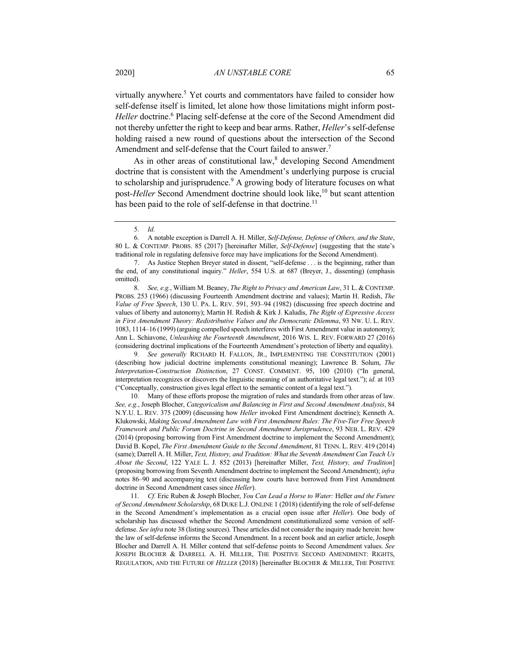virtually anywhere.<sup>5</sup> Yet courts and commentators have failed to consider how self-defense itself is limited, let alone how those limitations might inform post-*Heller* doctrine.<sup>6</sup> Placing self-defense at the core of the Second Amendment did not thereby unfetter the right to keep and bear arms. Rather, *Heller*'s self-defense holding raised a new round of questions about the intersection of the Second Amendment and self-defense that the Court failed to answer.<sup>7</sup>

As in other areas of constitutional law, $\delta$  developing Second Amendment doctrine that is consistent with the Amendment's underlying purpose is crucial to scholarship and jurisprudence.<sup>9</sup> A growing body of literature focuses on what post-*Heller* Second Amendment doctrine should look like,<sup>10</sup> but scant attention has been paid to the role of self-defense in that doctrine.<sup>11</sup>

8*. See, e.g.*, William M. Beaney, *The Right to Privacy and American Law*, 31 L. & CONTEMP. PROBS. 253 (1966) (discussing Fourteenth Amendment doctrine and values); Martin H. Redish, *The Value of Free Speech*, 130 U. PA. L. REV. 591, 593–94 (1982) (discussing free speech doctrine and values of liberty and autonomy); Martin H. Redish & Kirk J. Kaludis, *The Right of Expressive Access in First Amendment Theory: Redistributive Values and the Democratic Dilemma*, 93 NW. U. L. REV. 1083, 1114–16 (1999) (arguing compelled speech interferes with First Amendment value in autonomy); Ann L. Schiavone, *Unleashing the Fourteenth Amendment*, 2016 WIS. L. REV. FORWARD 27 (2016) (considering doctrinal implications of the Fourteenth Amendment's protection of liberty and equality).

9*. See generally* RICHARD H. FALLON, JR., IMPLEMENTING THE CONSTITUTION (2001) (describing how judicial doctrine implements constitutional meaning); Lawrence B. Solum, *The Interpretation-Construction Distinction*, 27 CONST. COMMENT. 95, 100 (2010) ("In general, interpretation recognizes or discovers the linguistic meaning of an authoritative legal text."); *id.* at 103 ("Conceptually, construction gives legal effect to the semantic content of a legal text.").

10. Many of these efforts propose the migration of rules and standards from other areas of law. *See, e.g.*, Joseph Blocher, *Categoricalism and Balancing in First and Second Amendment Analysis*, 84 N.Y.U. L. REV. 375 (2009) (discussing how *Heller* invoked First Amendment doctrine); Kenneth A. Klukowski, *Making Second Amendment Law with First Amendment Rules: The Five-Tier Free Speech Framework and Public Forum Doctrine in Second Amendment Jurisprudence*, 93 NEB. L. REV. 429 (2014) (proposing borrowing from First Amendment doctrine to implement the Second Amendment); David B. Kopel, *The First Amendment Guide to the Second Amendment*, 81 TENN. L. REV. 419 (2014) (same); Darrell A. H. Miller, *Text, History, and Tradition: What the Seventh Amendment Can Teach Us About the Second*, 122 YALE L. J. 852 (2013) [hereinafter Miller, *Text, History, and Tradition*] (proposing borrowing from Seventh Amendment doctrine to implement the Second Amendment); *infra* notes 86–90 and accompanying text (discussing how courts have borrowed from First Amendment doctrine in Second Amendment cases since *Heller*).

11*. Cf.* Eric Ruben & Joseph Blocher, *You Can Lead a Horse to Water:* Heller *and the Future of Second Amendment Scholarship*, 68 DUKE L.J. ONLINE 1 (2018) (identifying the role of self-defense in the Second Amendment's implementation as a crucial open issue after *Heller*). One body of scholarship has discussed whether the Second Amendment constitutionalized some version of selfdefense. *See infra* note 38 (listing sources). These articles did not consider the inquiry made herein: how the law of self-defense informs the Second Amendment. In a recent book and an earlier article, Joseph Blocher and Darrell A. H. Miller contend that self-defense points to Second Amendment values. *See*  JOSEPH BLOCHER & DARRELL A. H. MILLER, THE POSITIVE SECOND AMENDMENT: RIGHTS, REGULATION, AND THE FUTURE OF *HELLER* (2018) [hereinafter BLOCHER & MILLER, THE POSITIVE

<sup>5</sup>*. Id.*

<sup>6</sup>*.* A notable exception is Darrell A. H. Miller, *Self-Defense, Defense of Others, and the State*, 80 L. & CONTEMP. PROBS. 85 (2017) [hereinafter Miller, *Self-Defense*] (suggesting that the state's traditional role in regulating defensive force may have implications for the Second Amendment).

<sup>7.</sup> As Justice Stephen Breyer stated in dissent, "self-defense . . . is the beginning, rather than the end, of any constitutional inquiry." *Heller*, 554 U.S. at 687 (Breyer, J., dissenting) (emphasis omitted).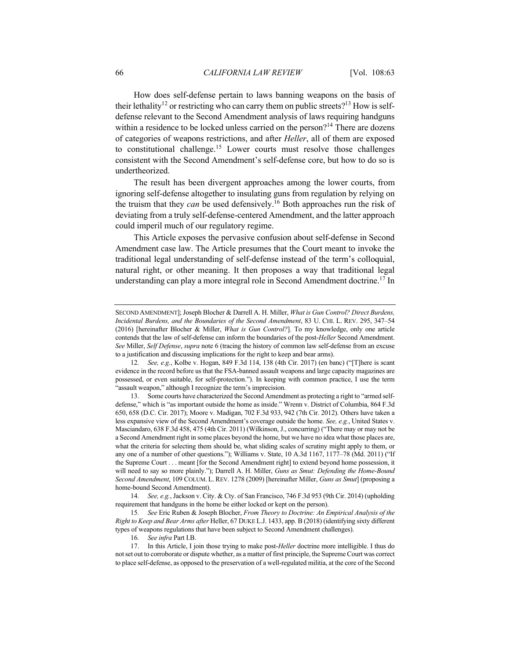How does self-defense pertain to laws banning weapons on the basis of their lethality<sup>12</sup> or restricting who can carry them on public streets?<sup>13</sup> How is selfdefense relevant to the Second Amendment analysis of laws requiring handguns within a residence to be locked unless carried on the person?<sup>14</sup> There are dozens of categories of weapons restrictions, and after *Heller*, all of them are exposed to constitutional challenge.<sup>15</sup> Lower courts must resolve those challenges consistent with the Second Amendment's self-defense core, but how to do so is undertheorized.

The result has been divergent approaches among the lower courts, from ignoring self-defense altogether to insulating guns from regulation by relying on the truism that they *can* be used defensively.16 Both approaches run the risk of deviating from a truly self-defense-centered Amendment, and the latter approach could imperil much of our regulatory regime.

This Article exposes the pervasive confusion about self-defense in Second Amendment case law. The Article presumes that the Court meant to invoke the traditional legal understanding of self-defense instead of the term's colloquial, natural right, or other meaning. It then proposes a way that traditional legal understanding can play a more integral role in Second Amendment doctrine.<sup>17</sup> In

14*. See, e.g.*, Jackson v. City. & Cty. of San Francisco, 746 F.3d 953 (9th Cir. 2014) (upholding requirement that handguns in the home be either locked or kept on the person).

15*. See* Eric Ruben & Joseph Blocher, *From Theory to Doctrine: An Empirical Analysis of the Right to Keep and Bear Arms after* Heller, 67 DUKE L.J. 1433, app. B (2018) (identifying sixty different types of weapons regulations that have been subject to Second Amendment challenges).

16*. See infra* Part I.B.

17. In this Article, I join those trying to make post-*Heller* doctrine more intelligible. I thus do not set out to corroborate or dispute whether, as a matter of first principle, the Supreme Court was correct to place self-defense, as opposed to the preservation of a well-regulated militia, at the core of the Second

SECOND AMENDMENT]; Joseph Blocher & Darrell A. H. Miller, *What is Gun Control? Direct Burdens, Incidental Burdens, and the Boundaries of the Second Amendment*, 83 U. CHI. L. REV. 295, 347–54 (2016) [hereinafter Blocher & Miller, *What is Gun Control?*]. To my knowledge, only one article contends that the law of self-defense can inform the boundaries of the post-*Heller* Second Amendment. *See* Miller, *Self Defense*, *supra* note 6 (tracing the history of common law self-defense from an excuse to a justification and discussing implications for the right to keep and bear arms).

<sup>12</sup>*. See, e.g.*, Kolbe v. Hogan, 849 F.3d 114, 138 (4th Cir. 2017) (en banc) ("[T]here is scant evidence in the record before us that the FSA-banned assault weapons and large capacity magazines are possessed, or even suitable, for self-protection."). In keeping with common practice, I use the term "assault weapon," although I recognize the term's imprecision.

<sup>13.</sup> Some courts have characterized the Second Amendment as protecting a right to "armed selfdefense," which is "as important outside the home as inside." Wrenn v. District of Columbia, 864 F.3d 650, 658 (D.C. Cir. 2017); Moore v. Madigan, 702 F.3d 933, 942 (7th Cir. 2012). Others have taken a less expansive view of the Second Amendment's coverage outside the home. *See, e.g.*, United States v. Masciandaro, 638 F.3d 458, 475 (4th Cir. 2011) (Wilkinson, J., concurring) ("There may or may not be a Second Amendment right in some places beyond the home, but we have no idea what those places are, what the criteria for selecting them should be, what sliding scales of scrutiny might apply to them, or any one of a number of other questions."); Williams v. State, 10 A.3d 1167, 1177–78 (Md. 2011) ("If the Supreme Court . . . meant [for the Second Amendment right] to extend beyond home possession, it will need to say so more plainly."); Darrell A. H. Miller, *Guns as Smut: Defending the Home-Bound Second Amendment*, 109 COLUM. L. REV. 1278 (2009) [hereinafter Miller, *Guns as Smut*] (proposing a home-bound Second Amendment).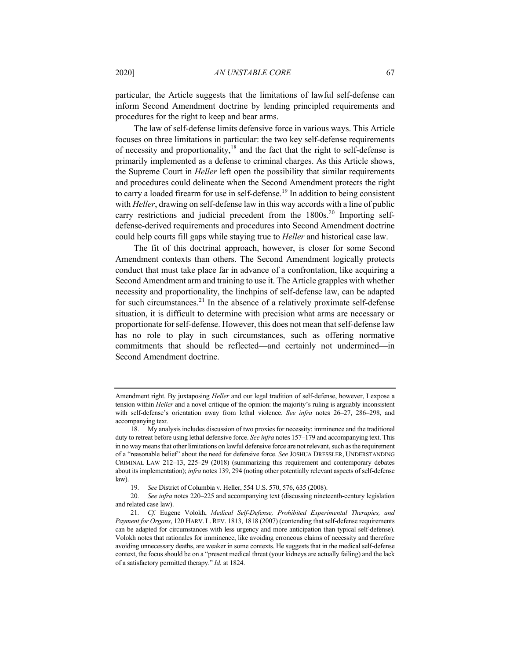particular, the Article suggests that the limitations of lawful self-defense can inform Second Amendment doctrine by lending principled requirements and procedures for the right to keep and bear arms.

The law of self-defense limits defensive force in various ways. This Article focuses on three limitations in particular: the two key self-defense requirements of necessity and proportionality, $18$  and the fact that the right to self-defense is primarily implemented as a defense to criminal charges. As this Article shows, the Supreme Court in *Heller* left open the possibility that similar requirements and procedures could delineate when the Second Amendment protects the right to carry a loaded firearm for use in self-defense.<sup>19</sup> In addition to being consistent with *Heller*, drawing on self-defense law in this way accords with a line of public carry restrictions and judicial precedent from the  $1800s$ <sup>20</sup> Importing selfdefense-derived requirements and procedures into Second Amendment doctrine could help courts fill gaps while staying true to *Heller* and historical case law.

The fit of this doctrinal approach, however, is closer for some Second Amendment contexts than others. The Second Amendment logically protects conduct that must take place far in advance of a confrontation, like acquiring a Second Amendment arm and training to use it. The Article grapples with whether necessity and proportionality, the linchpins of self-defense law, can be adapted for such circumstances.<sup>21</sup> In the absence of a relatively proximate self-defense situation, it is difficult to determine with precision what arms are necessary or proportionate for self-defense. However, this does not mean that self-defense law has no role to play in such circumstances, such as offering normative commitments that should be reflected—and certainly not undermined—in Second Amendment doctrine.

Amendment right. By juxtaposing *Heller* and our legal tradition of self-defense, however, I expose a tension within *Heller* and a novel critique of the opinion: the majority's ruling is arguably inconsistent with self-defense's orientation away from lethal violence. *See infra* notes 26–27, 286–298, and accompanying text.

<sup>18.</sup> My analysis includes discussion of two proxies for necessity: imminence and the traditional duty to retreat before using lethal defensive force. *See infra* notes 157–179 and accompanying text. This in no way means that other limitations on lawful defensive force are not relevant, such as the requirement of a "reasonable belief" about the need for defensive force. *See* JOSHUA DRESSLER, UNDERSTANDING CRIMINAL LAW 212–13, 225–29 (2018) (summarizing this requirement and contemporary debates about its implementation); *infra* notes 139, 294 (noting other potentially relevant aspects of self-defense law).

<sup>19</sup>*. See* District of Columbia v. Heller, 554 U.S. 570, 576, 635 (2008).

<sup>20</sup>*. See infra* notes 220–225 and accompanying text (discussing nineteenth-century legislation and related case law).

<sup>21</sup>*. Cf.* Eugene Volokh, *Medical Self-Defense, Prohibited Experimental Therapies, and Payment for Organs*, 120 HARV. L.REV. 1813, 1818 (2007) (contending that self-defense requirements can be adapted for circumstances with less urgency and more anticipation than typical self-defense). Volokh notes that rationales for imminence, like avoiding erroneous claims of necessity and therefore avoiding unnecessary deaths, are weaker in some contexts. He suggests that in the medical self-defense context, the focus should be on a "present medical threat (your kidneys are actually failing) and the lack of a satisfactory permitted therapy." *Id.* at 1824.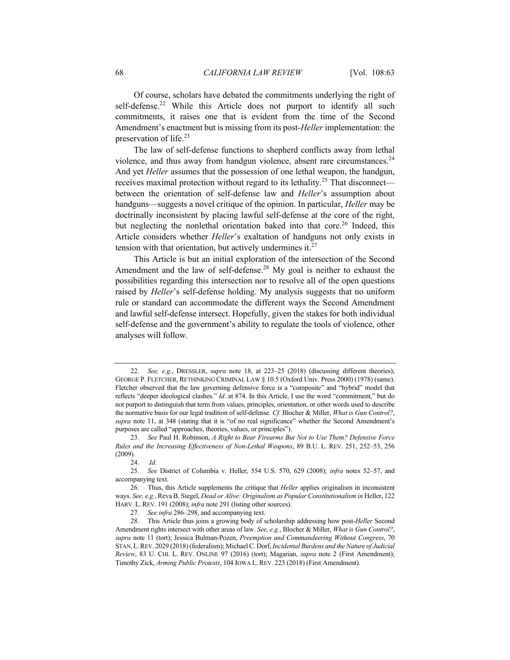Of course, scholars have debated the commitments underlying the right of self-defense.<sup>22</sup> While this Article does not purport to identify all such commitments, it raises one that is evident from the time of the Second Amendment's enactment but is missing from its post-*Heller* implementation: the preservation of life.<sup>23</sup>

The law of self-defense functions to shepherd conflicts away from lethal violence, and thus away from handgun violence, absent rare circumstances.<sup>24</sup> And yet *Heller* assumes that the possession of one lethal weapon, the handgun, receives maximal protection without regard to its lethality.<sup>25</sup> That disconnect between the orientation of self-defense law and *Heller*'s assumption about handguns—suggests a novel critique of the opinion. In particular, *Heller* may be doctrinally inconsistent by placing lawful self-defense at the core of the right, but neglecting the nonlethal orientation baked into that core.<sup>26</sup> Indeed, this Article considers whether *Heller*'s exaltation of handguns not only exists in tension with that orientation, but actively undermines it. $27$ 

This Article is but an initial exploration of the intersection of the Second Amendment and the law of self-defense.<sup>28</sup> My goal is neither to exhaust the possibilities regarding this intersection nor to resolve all of the open questions raised by *Heller*'s self-defense holding. My analysis suggests that no uniform rule or standard can accommodate the different ways the Second Amendment and lawful self-defense intersect. Hopefully, given the stakes for both individual self-defense and the government's ability to regulate the tools of violence, other analyses will follow.

<sup>22</sup>*. See, e.g.*, DRESSLER, *supra* note 18, at 223–25 (2018) (discussing different theories); GEORGE P. FLETCHER, RETHINKING CRIMINAL LAW § 10.5 (Oxford Univ. Press 2000) (1978) (same). Fletcher observed that the law governing defensive force is a "composite" and "hybrid" model that reflects "deeper ideological clashes." *Id.* at 874. In this Article, I use the word "commitment," but do not purport to distinguish that term from values, principles, orientation, or other words used to describe the normative basis for our legal tradition of self-defense. *Cf.* Blocher & Miller, *What is Gun Control?*, *supra* note 11, at 348 (stating that it is "of no real significance" whether the Second Amendment's purposes are called "approaches, theories, values, or principles").

<sup>23</sup>*. See* Paul H. Robinson, *A Right to Bear Firearms But Not to Use Them? Defensive Force Rules and the Increasing Effectiveness of Non-Lethal Weapons*, 89 B.U. L. REV. 251, 252–53, 256 (2009).

<sup>24.</sup> *Id.*

<sup>25</sup>*. See* District of Columbia v. Heller, 554 U.S. 570, 629 (2008); *infra* notes 52–57, and accompanying text.

<sup>26.</sup> Thus, this Article supplements the critique that *Heller* applies originalism in inconsistent ways. *See, e.g.*, Reva B. Siegel, *Dead or Alive: Originalism as Popular Constitutionalism in* Heller, 122 HARV. L. REV. 191 (2008); *infra* note 291 (listing other sources).

<sup>27</sup>*. See infra* 286–298, and accompanying text.

<sup>28.</sup> This Article thus joins a growing body of scholarship addressing how post-*Heller* Second Amendment rights intersect with other areas of law. *See, e.g.*, Blocher & Miller, *What is Gun Control?*, *supra* note 11 (tort); Jessica Bulman-Pozen, *Preemption and Commandeering Without Congress*, 70 STAN.L.REV. 2029 (2018) (federalism); Michael C. Dorf, *Incidental Burdens and the Nature of Judicial Review*, 83 U. CHI. L. REV. ONLINE 97 (2016) (tort); Magarian, *supra* note 2 (First Amendment); Timothy Zick, *Arming Public Protests*, 104 IOWA L. REV. 223 (2018) (First Amendment).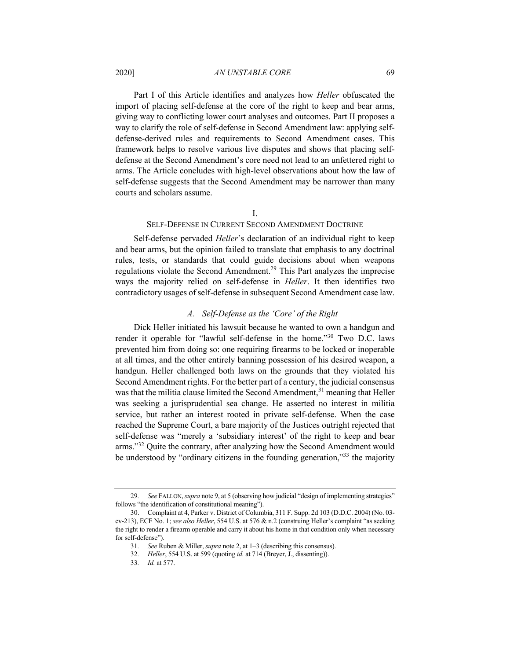## 2020] *AN UNSTABLE CORE* 69

Part I of this Article identifies and analyzes how *Heller* obfuscated the import of placing self-defense at the core of the right to keep and bear arms, giving way to conflicting lower court analyses and outcomes. Part II proposes a way to clarify the role of self-defense in Second Amendment law: applying selfdefense-derived rules and requirements to Second Amendment cases. This framework helps to resolve various live disputes and shows that placing selfdefense at the Second Amendment's core need not lead to an unfettered right to arms. The Article concludes with high-level observations about how the law of self-defense suggests that the Second Amendment may be narrower than many courts and scholars assume.

#### I.

## SELF-DEFENSE IN CURRENT SECOND AMENDMENT DOCTRINE

Self-defense pervaded *Heller*'s declaration of an individual right to keep and bear arms, but the opinion failed to translate that emphasis to any doctrinal rules, tests, or standards that could guide decisions about when weapons regulations violate the Second Amendment.<sup>29</sup> This Part analyzes the imprecise ways the majority relied on self-defense in *Heller*. It then identifies two contradictory usages of self-defense in subsequent Second Amendment case law.

#### *A. Self-Defense as the 'Core' of the Right*

Dick Heller initiated his lawsuit because he wanted to own a handgun and render it operable for "lawful self-defense in the home."30 Two D.C. laws prevented him from doing so: one requiring firearms to be locked or inoperable at all times, and the other entirely banning possession of his desired weapon, a handgun. Heller challenged both laws on the grounds that they violated his Second Amendment rights. For the better part of a century, the judicial consensus was that the militia clause limited the Second Amendment,<sup>31</sup> meaning that Heller was seeking a jurisprudential sea change. He asserted no interest in militia service, but rather an interest rooted in private self-defense. When the case reached the Supreme Court, a bare majority of the Justices outright rejected that self-defense was "merely a 'subsidiary interest' of the right to keep and bear arms."<sup>32</sup> Quite the contrary, after analyzing how the Second Amendment would be understood by "ordinary citizens in the founding generation,"<sup>33</sup> the majority

<sup>29</sup>*. See* FALLON, *supra* note 9, at 5 (observing how judicial "design of implementing strategies" follows "the identification of constitutional meaning").

<sup>30.</sup> Complaint at 4, Parker v. District of Columbia, 311 F. Supp. 2d 103 (D.D.C. 2004) (No. 03 cv-213), ECF No. 1; *see also Heller*, 554 U.S. at 576 & n.2 (construing Heller's complaint "as seeking the right to render a firearm operable and carry it about his home in that condition only when necessary for self-defense").

<sup>31</sup>*. See* Ruben & Miller, *supra* note 2, at 1–3 (describing this consensus).

<sup>32</sup>*. Heller*, 554 U.S. at 599 (quoting *id.* at 714 (Breyer, J., dissenting)).

<sup>33</sup>*. Id.* at 577.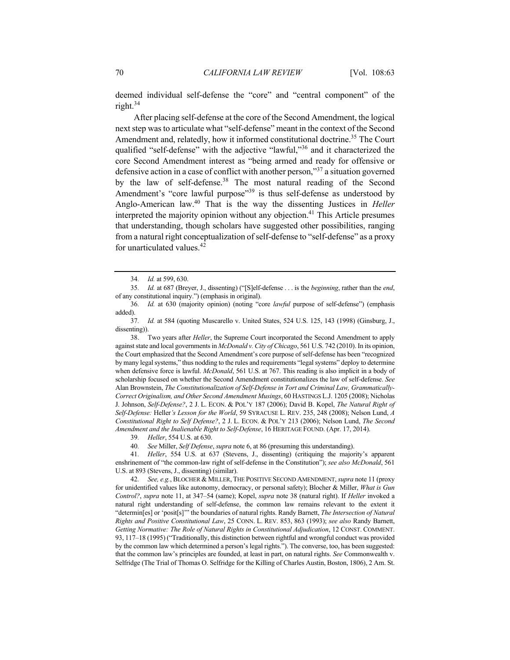deemed individual self-defense the "core" and "central component" of the right. $34$ 

After placing self-defense at the core of the Second Amendment, the logical next step was to articulate what "self-defense" meant in the context of the Second Amendment and, relatedly, how it informed constitutional doctrine.<sup>35</sup> The Court qualified "self-defense" with the adjective "lawful,"<sup>36</sup> and it characterized the core Second Amendment interest as "being armed and ready for offensive or defensive action in a case of conflict with another person,"<sup>37</sup> a situation governed by the law of self-defense.<sup>38</sup> The most natural reading of the Second Amendment's "core lawful purpose"<sup>39</sup> is thus self-defense as understood by Anglo-American law.40 That is the way the dissenting Justices in *Heller*  interpreted the majority opinion without any objection.<sup>41</sup> This Article presumes that understanding, though scholars have suggested other possibilities, ranging from a natural right conceptualization of self-defense to "self-defense" as a proxy for unarticulated values.<sup>42</sup>

38. Two years after *Heller*, the Supreme Court incorporated the Second Amendment to apply against state and local governments in *McDonald v. City of Chicago*, 561 U.S. 742 (2010). In its opinion, the Court emphasized that the Second Amendment's core purpose of self-defense has been "recognized by many legal systems," thus nodding to the rules and requirements "legal systems" deploy to determine when defensive force is lawful. *McDonald*, 561 U.S. at 767. This reading is also implicit in a body of scholarship focused on whether the Second Amendment constitutionalizes the law of self-defense. *See*  Alan Brownstein, *The Constitutionalization of Self-Defense in Tort and Criminal Law, Grammatically-Correct Originalism, and Other Second Amendment Musings*, 60 HASTINGS L.J. 1205 (2008); Nicholas J. Johnson, *Self-Defense?*, 2 J. L. ECON. & POL'Y 187 (2006); David B. Kopel, *The Natural Right of Self-Defense:* Heller*'s Lesson for the World*, 59 SYRACUSE L. REV. 235, 248 (2008); Nelson Lund, *A Constitutional Right to Self Defense?*, 2 J. L. ECON. & POL'Y 213 (2006); Nelson Lund, *The Second Amendment and the Inalienable Right to Self-Defense*, 16 HERITAGE FOUND. (Apr. 17, 2014).

39*. Heller*, 554 U.S. at 630.

40*. See* Miller, *Self Defense*, *supra* note 6, at 86 (presuming this understanding).

42*. See, e.g.*, BLOCHER & MILLER, THE POSITIVE SECOND AMENDMENT, *supra* note 11 (proxy for unidentified values like autonomy, democracy, or personal safety); Blocher & Miller, *What is Gun Control?*, *supra* note 11, at 347–54 (same); Kopel, *supra* note 38 (natural right). If *Heller* invoked a natural right understanding of self-defense, the common law remains relevant to the extent it "determin[es] or 'posit[s]'" the boundaries of natural rights. Randy Barnett, *The Intersection of Natural Rights and Positive Constitutional Law*, 25 CONN. L. REV. 853, 863 (1993); *see also* Randy Barnett, *Getting Normative: The Role of Natural Rights in Constitutional Adjudication*, 12 CONST. COMMENT. 93, 117–18 (1995) ("Traditionally, this distinction between rightful and wrongful conduct was provided by the common law which determined a person's legal rights."). The converse, too, has been suggested: that the common law's principles are founded, at least in part, on natural rights. *See* Commonwealth v. Selfridge (The Trial of Thomas O. Selfridge for the Killing of Charles Austin, Boston, 1806), 2 Am. St.

<sup>34</sup>*. Id.* at 599, 630.

<sup>35</sup>*. Id.* at 687 (Breyer, J., dissenting) ("[S]elf-defense . . . is the *beginning*, rather than the *end*, of any constitutional inquiry.") (emphasis in original).

<sup>36</sup>*. Id.* at 630 (majority opinion) (noting "core *lawful* purpose of self-defense") (emphasis added).

<sup>37</sup>*. Id.* at 584 (quoting Muscarello v. United States, 524 U.S. 125, 143 (1998) (Ginsburg, J., dissenting)).

<sup>41</sup>*. Heller*, 554 U.S. at 637 (Stevens, J., dissenting) (critiquing the majority's apparent enshrinement of "the common-law right of self-defense in the Constitution"); *see also McDonald*, 561 U.S. at 893 (Stevens, J., dissenting) (similar).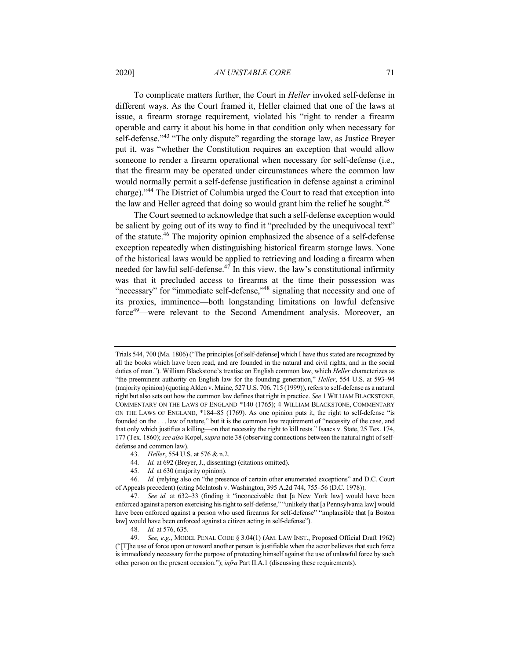#### 2020] *AN UNSTABLE CORE* 71

To complicate matters further, the Court in *Heller* invoked self-defense in different ways. As the Court framed it, Heller claimed that one of the laws at issue, a firearm storage requirement, violated his "right to render a firearm operable and carry it about his home in that condition only when necessary for self-defense."<sup>43</sup> "The only dispute" regarding the storage law, as Justice Breyer put it, was "whether the Constitution requires an exception that would allow someone to render a firearm operational when necessary for self-defense (i.e., that the firearm may be operated under circumstances where the common law would normally permit a self-defense justification in defense against a criminal charge)."44 The District of Columbia urged the Court to read that exception into the law and Heller agreed that doing so would grant him the relief he sought.<sup>45</sup>

The Court seemed to acknowledge that such a self-defense exception would be salient by going out of its way to find it "precluded by the unequivocal text" of the statute.<sup>46</sup> The majority opinion emphasized the absence of a self-defense exception repeatedly when distinguishing historical firearm storage laws. None of the historical laws would be applied to retrieving and loading a firearm when needed for lawful self-defense.<sup>47</sup> In this view, the law's constitutional infirmity was that it precluded access to firearms at the time their possession was "necessary" for "immediate self-defense,"<sup>48</sup> signaling that necessity and one of its proxies, imminence—both longstanding limitations on lawful defensive force<sup>49</sup>—were relevant to the Second Amendment analysis. Moreover, an

Trials 544, 700 (Ma. 1806) ("The principles [of self-defense] which I have thus stated are recognized by all the books which have been read, and are founded in the natural and civil rights, and in the social duties of man."). William Blackstone's treatise on English common law, which *Heller* characterizes as "the preeminent authority on English law for the founding generation," *Heller*, 554 U.S. at 593–94 (majority opinion) (quoting Alden v. Maine*,* 527 U.S. 706, 715 (1999)), refers to self-defense as a natural right but also sets out how the common law defines that right in practice. *See* 1 WILLIAM BLACKSTONE, COMMENTARY ON THE LAWS OF ENGLAND \*140 (1765); 4 WILLIAM BLACKSTONE, COMMENTARY ON THE LAWS OF ENGLAND, \*184–85 (1769). As one opinion puts it, the right to self-defense "is founded on the . . . law of nature," but it is the common law requirement of "necessity of the case, and that only which justifies a killing—on that necessity the right to kill rests." Isaacs v. State, 25 Tex. 174, 177 (Tex. 1860); *see also* Kopel, *supra* note 38 (observing connections between the natural right of selfdefense and common law).

<sup>43</sup>*. Heller*, 554 U.S. at 576 & n.2.

<sup>44</sup>*. Id.* at 692 (Breyer, J., dissenting) (citations omitted).

<sup>45</sup>*. Id.* at 630 (majority opinion).

<sup>46</sup>*. Id.* (relying also on "the presence of certain other enumerated exceptions" and D.C. Court of Appeals precedent) (citing McIntosh v. Washington, 395 A.2d 744, 755–56 (D.C. 1978)).

<sup>47</sup>*. See id.* at 632–33 (finding it "inconceivable that [a New York law] would have been enforced against a person exercising his right to self-defense," "unlikely that [a Pennsylvania law] would have been enforced against a person who used firearms for self-defense" "implausible that [a Boston law] would have been enforced against a citizen acting in self-defense").

<sup>48</sup>*. Id.* at 576, 635.

<sup>49</sup>*. See, e.g.*, MODEL PENAL CODE § 3.04(1) (AM. LAW INST., Proposed Official Draft 1962) ("[T]he use of force upon or toward another person is justifiable when the actor believes that such force is immediately necessary for the purpose of protecting himself against the use of unlawful force by such other person on the present occasion."); *infra* Part II.A.1 (discussing these requirements).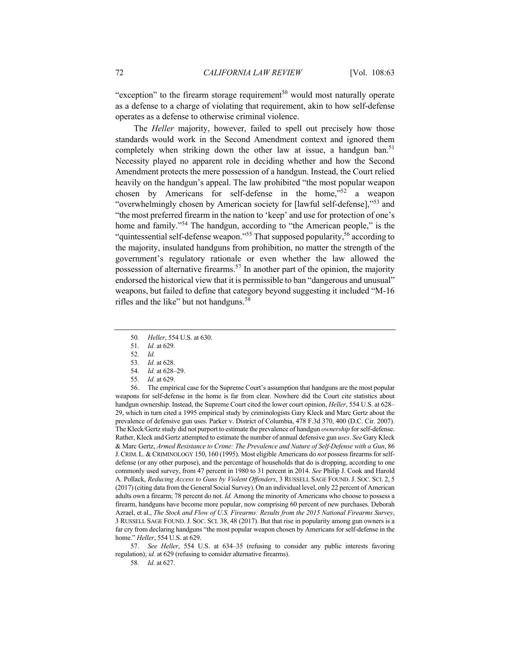"exception" to the firearm storage requirement<sup>50</sup> would most naturally operate as a defense to a charge of violating that requirement, akin to how self-defense operates as a defense to otherwise criminal violence.

The *Heller* majority, however, failed to spell out precisely how those standards would work in the Second Amendment context and ignored them completely when striking down the other law at issue, a handgun ban.<sup>51</sup> Necessity played no apparent role in deciding whether and how the Second Amendment protects the mere possession of a handgun. Instead, the Court relied heavily on the handgun's appeal. The law prohibited "the most popular weapon chosen by Americans for self-defense in the home,"<sup>52</sup> a weapon "overwhelmingly chosen by American society for [lawful self-defense],"<sup>53</sup> and "the most preferred firearm in the nation to 'keep' and use for protection of one's home and family."<sup>54</sup> The handgun, according to "the American people," is the "quintessential self-defense weapon."<sup>55</sup> That supposed popularity,<sup>56</sup> according to the majority, insulated handguns from prohibition, no matter the strength of the government's regulatory rationale or even whether the law allowed the possession of alternative firearms.<sup>57</sup> In another part of the opinion, the majority endorsed the historical view that it is permissible to ban "dangerous and unusual" weapons, but failed to define that category beyond suggesting it included "M-16 rifles and the like" but not handguns.<sup>58</sup>

- 50*. Heller*, 554 U.S. at 630.
- 51*. Id.* at 629.
- 52*. Id.*
- 53*. Id.* at 628.
- 54*. Id.* at 628–29.
- 55*. Id.* at 629.

56. The empirical case for the Supreme Court's assumption that handguns are the most popular weapons for self-defense in the home is far from clear. Nowhere did the Court cite statistics about handgun ownership. Instead, the Supreme Court cited the lower court opinion, *Heller*, 554 U.S. at 628– 29, which in turn cited a 1995 empirical study by criminologists Gary Kleck and Marc Gertz about the prevalence of defensive gun uses. Parker v. District of Columbia, 478 F.3d 370, 400 (D.C. Cir. 2007). The Kleck/Gertz study did not purport to estimate the prevalence of handgun *ownership* for self-defense. Rather, Kleck and Gertz attempted to estimate the number of annual defensive gun *uses*. *See* Gary Kleck & Marc Gertz, *Armed Resistance to Crime: The Prevalence and Nature of Self-Defense with a Gun*, 86 J.CRIM. L.& CRIMINOLOGY 150, 160 (1995). Most eligible Americans do *not* possess firearms for selfdefense (or any other purpose), and the percentage of households that do is dropping, according to one commonly used survey, from 47 percent in 1980 to 31 percent in 2014. *See* Philip J. Cook and Harold A. Pollack, *Reducing Access to Guns by Violent Offenders*, 3 RUSSELL SAGE FOUND. J. SOC. SCI. 2, 5 (2017) (citing data from the General Social Survey).On an individual level, only 22 percent of American adults own a firearm; 78 percent do not. *Id.* Among the minority of Americans who choose to possess a firearm, handguns have become more popular, now comprising 60 percent of new purchases. Deborah Azrael, et al., *The Stock and Flow of U.S. Firearms: Results from the 2015 National Firearms Survey*, 3 RUSSELL SAGE FOUND.J. SOC. SCI. 38, 48 (2017). But that rise in popularity among gun owners is a far cry from declaring handguns "the most popular weapon chosen by Americans for self-defense in the home." *Heller*, 554 U.S. at 629.

57*. See Heller*, 554 U.S. at 634–35 (refusing to consider any public interests favoring regulation); *id.* at 629 (refusing to consider alternative firearms).

58*. Id.* at 627.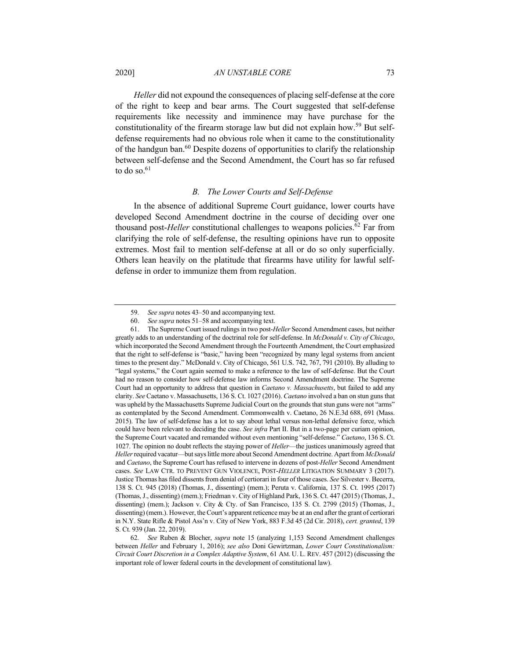2020] *AN UNSTABLE CORE* 73

*Heller* did not expound the consequences of placing self-defense at the core of the right to keep and bear arms. The Court suggested that self-defense requirements like necessity and imminence may have purchase for the constitutionality of the firearm storage law but did not explain how.<sup>59</sup> But selfdefense requirements had no obvious role when it came to the constitutionality of the handgun ban.<sup>60</sup> Despite dozens of opportunities to clarify the relationship between self-defense and the Second Amendment, the Court has so far refused to do so. $61$ 

#### *B. The Lower Courts and Self-Defense*

In the absence of additional Supreme Court guidance, lower courts have developed Second Amendment doctrine in the course of deciding over one thousand post-*Heller* constitutional challenges to weapons policies.<sup>62</sup> Far from clarifying the role of self-defense, the resulting opinions have run to opposite extremes. Most fail to mention self-defense at all or do so only superficially. Others lean heavily on the platitude that firearms have utility for lawful selfdefense in order to immunize them from regulation.

<sup>59</sup>*. See supra* notes 43–50 and accompanying text.

<sup>60.</sup> *See supra* notes 51–58 and accompanying text.

<sup>61.</sup> The Supreme Court issued rulings in two post-*Heller* Second Amendment cases, but neither greatly adds to an understanding of the doctrinal role for self-defense. In *McDonald v. City of Chicago*, which incorporated the Second Amendment through the Fourteenth Amendment, the Court emphasized that the right to self-defense is "basic," having been "recognized by many legal systems from ancient times to the present day." McDonald v. City of Chicago, 561 U.S. 742, 767, 791 (2010). By alluding to "legal systems," the Court again seemed to make a reference to the law of self-defense. But the Court had no reason to consider how self-defense law informs Second Amendment doctrine. The Supreme Court had an opportunity to address that question in *Caetano v. Massachusetts*, but failed to add any clarity. *See* Caetano v. Massachusetts, 136 S. Ct. 1027 (2016). *Caetano* involved a ban on stun guns that was upheld by the Massachusetts Supreme Judicial Court on the grounds that stun guns were not "arms" as contemplated by the Second Amendment. Commonwealth v. Caetano, 26 N.E.3d 688, 691 (Mass. 2015). The law of self-defense has a lot to say about lethal versus non-lethal defensive force, which could have been relevant to deciding the case. *See infra* Part II. But in a two-page per curiam opinion, the Supreme Court vacated and remanded without even mentioning "self-defense." *Caetano*, 136 S. Ct. 1027. The opinion no doubt reflects the staying power of *Heller*—the justices unanimously agreed that *Heller*required vacatur—but says little more about Second Amendment doctrine. Apart from *McDonald* and *Caetano*, the Supreme Court has refused to intervene in dozens of post-*Heller* Second Amendment cases. *See* LAW CTR. TO PREVENT GUN VIOLENCE, POST-*HELLER* LITIGATION SUMMARY 3 (2017). Justice Thomas has filed dissents from denial of certiorari in four of those cases. *See* Silvester v. Becerra, 138 S. Ct. 945 (2018) (Thomas, J., dissenting) (mem.); Peruta v. California, 137 S. Ct. 1995 (2017) (Thomas, J., dissenting) (mem.); Friedman v. City of Highland Park, 136 S. Ct. 447 (2015) (Thomas, J., dissenting) (mem.); Jackson v. City & Cty. of San Francisco, 135 S. Ct. 2799 (2015) (Thomas, J., dissenting) (mem.). However, the Court's apparent reticence may be at an end after the grant of certiorari in N.Y. State Rifle & Pistol Ass'n v. City of New York, 883 F.3d 45 (2d Cir. 2018), *cert. granted*, 139 S. Ct. 939 (Jan. 22, 2019).

<sup>62</sup>*. See* Ruben & Blocher, *supra* note 15 (analyzing 1,153 Second Amendment challenges between *Heller* and February 1, 2016); *see also* Doni Gewirtzman, *Lower Court Constitutionalism: Circuit Court Discretion in a Complex Adaptive System*, 61 AM. U. L. REV. 457 (2012) (discussing the important role of lower federal courts in the development of constitutional law).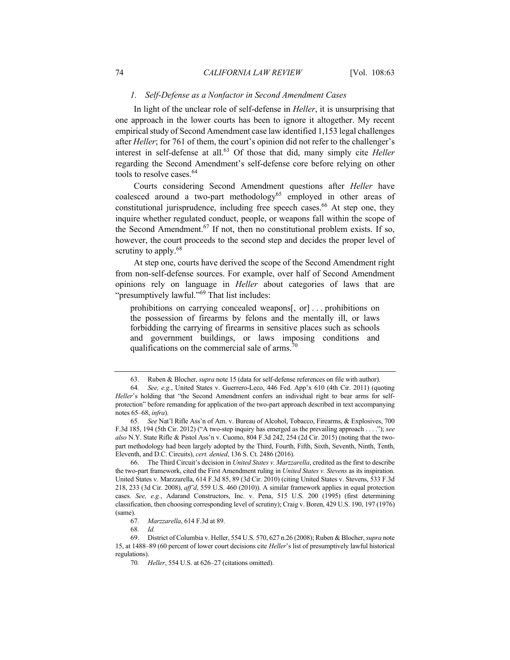#### *1. Self-Defense as a Nonfactor in Second Amendment Cases*

In light of the unclear role of self-defense in *Heller*, it is unsurprising that one approach in the lower courts has been to ignore it altogether. My recent empirical study of Second Amendment case law identified 1,153 legal challenges after *Heller*; for 761 of them, the court's opinion did not refer to the challenger's interest in self-defense at all.<sup>63</sup> Of those that did, many simply cite *Heller* regarding the Second Amendment's self-defense core before relying on other tools to resolve cases.<sup>64</sup>

Courts considering Second Amendment questions after *Heller* have coalesced around a two-part methodology<sup>65</sup> employed in other areas of constitutional jurisprudence, including free speech cases.<sup>66</sup> At step one, they inquire whether regulated conduct, people, or weapons fall within the scope of the Second Amendment.<sup>67</sup> If not, then no constitutional problem exists. If so, however, the court proceeds to the second step and decides the proper level of scrutiny to apply.<sup>68</sup>

At step one, courts have derived the scope of the Second Amendment right from non-self-defense sources. For example, over half of Second Amendment opinions rely on language in *Heller* about categories of laws that are "presumptively lawful."<sup>69</sup> That list includes:

prohibitions on carrying concealed weapons[, or] . . . prohibitions on the possession of firearms by felons and the mentally ill, or laws forbidding the carrying of firearms in sensitive places such as schools and government buildings, or laws imposing conditions and qualifications on the commercial sale of arms. $70$ 

<sup>63.</sup> Ruben & Blocher, *supra* note 15 (data for self-defense references on file with author).

<sup>64</sup>*. See, e.g.*, United States v. Guerrero-Leco, 446 Fed. App'x 610 (4th Cir. 2011) (quoting *Heller*'s holding that "the Second Amendment confers an individual right to bear arms for selfprotection" before remanding for application of the two-part approach described in text accompanying notes 65–68, *infra*).

<sup>65</sup>*. See* Nat'l Rifle Ass'n of Am. v. Bureau of Alcohol, Tobacco, Firearms, & Explosives, 700 F.3d 185, 194 (5th Cir. 2012) ("A two-step inquiry has emerged as the prevailing approach . . . ."); *see also* N.Y. State Rifle & Pistol Ass'n v. Cuomo, 804 F.3d 242, 254 (2d Cir. 2015) (noting that the twopart methodology had been largely adopted by the Third, Fourth, Fifth, Sixth, Seventh, Ninth, Tenth, Eleventh, and D.C. Circuits), *cert. denied*, 136 S. Ct. 2486 (2016).

<sup>66.</sup> The Third Circuit's decision in *United States v. Marzzarella*, credited as the first to describe the two-part framework, cited the First Amendment ruling in *United States v. Stevens* as its inspiration. United States v. Marzzarella, 614 F.3d 85, 89 (3d Cir. 2010) (citing United States v. Stevens, 533 F.3d 218, 233 (3d Cir. 2008), *aff'd*, 559 U.S. 460 (2010)). A similar framework applies in equal protection cases. *See, e.g.*, Adarand Constructors, Inc. v. Pena, 515 U.S. 200 (1995) (first determining classification, then choosing corresponding level of scrutiny); Craig v. Boren, 429 U.S. 190, 197 (1976) (same).

<sup>67</sup>*. Marzzarella*, 614 F.3d at 89.

<sup>68</sup>*. Id.*

<sup>69.</sup> District of Columbia v. Heller, 554 U.S. 570, 627 n.26 (2008); Ruben & Blocher, *supra* note 15, at 1488–89 (60 percent of lower court decisions cite *Heller*'s list of presumptively lawful historical regulations).

<sup>70</sup>*. Heller*, 554 U.S. at 626–27 (citations omitted).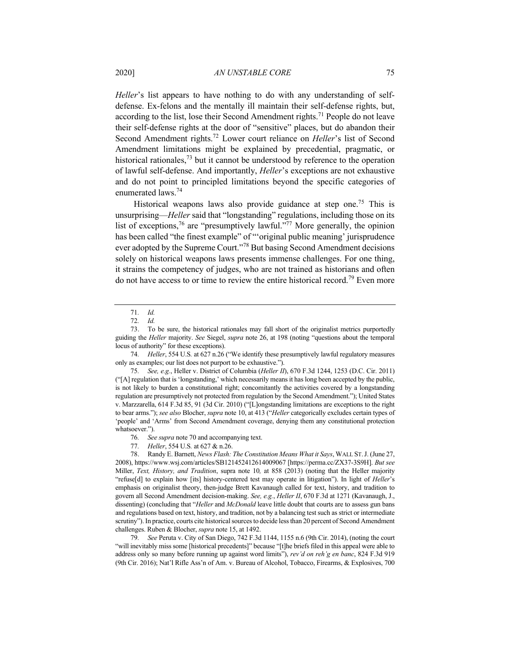*Heller*'s list appears to have nothing to do with any understanding of selfdefense. Ex-felons and the mentally ill maintain their self-defense rights, but, according to the list, lose their Second Amendment rights.<sup>71</sup> People do not leave their self-defense rights at the door of "sensitive" places, but do abandon their Second Amendment rights.72 Lower court reliance on *Heller*'s list of Second Amendment limitations might be explained by precedential, pragmatic, or historical rationales,  $^{73}$  but it cannot be understood by reference to the operation of lawful self-defense. And importantly, *Heller*'s exceptions are not exhaustive and do not point to principled limitations beyond the specific categories of enumerated laws.<sup>74</sup>

Historical weapons laws also provide guidance at step one.<sup>75</sup> This is unsurprising—*Heller* said that "longstanding" regulations, including those on its list of exceptions,<sup>76</sup> are "presumptively lawful."<sup>77</sup> More generally, the opinion has been called "the finest example" of "'original public meaning' jurisprudence ever adopted by the Supreme Court."<sup>78</sup> But basing Second Amendment decisions solely on historical weapons laws presents immense challenges. For one thing, it strains the competency of judges, who are not trained as historians and often do not have access to or time to review the entire historical record.<sup>79</sup> Even more

79*. See* Peruta v. City of San Diego, 742 F.3d 1144, 1155 n.6 (9th Cir. 2014), (noting the court "will inevitably miss some [historical precedents]" because "[t]he briefs filed in this appeal were able to address only so many before running up against word limits"), *rev'd on reh'g en banc*, 824 F.3d 919 (9th Cir. 2016); Nat'l Rifle Ass'n of Am. v. Bureau of Alcohol, Tobacco, Firearms, & Explosives, 700

<sup>71</sup>*. Id.*

<sup>72</sup>*. Id.*

<sup>73.</sup> To be sure, the historical rationales may fall short of the originalist metrics purportedly guiding the *Heller* majority. *See* Siegel, *supra* note 26, at 198 (noting "questions about the temporal locus of authority" for these exceptions).

<sup>74</sup>*. Heller*, 554 U.S*.* at 627 n.26 ("We identify these presumptively lawful regulatory measures only as examples; our list does not purport to be exhaustive.").

<sup>75</sup>*. See, e.g.*, Heller v. District of Columbia (*Heller II*), 670 F.3d 1244, 1253 (D.C. Cir. 2011) ("[A] regulation that is 'longstanding,' which necessarily means it has long been accepted by the public, is not likely to burden a constitutional right; concomitantly the activities covered by a longstanding regulation are presumptively not protected from regulation by the Second Amendment."); United States v. Marzzarella, 614 F.3d 85, 91 (3d Cir. 2010) ("[L]ongstanding limitations are exceptions to the right to bear arms."); *see also* Blocher, *supra* note 10, at 413 ("*Heller* categorically excludes certain types of 'people' and 'Arms' from Second Amendment coverage, denying them any constitutional protection whatsoever.").

<sup>76</sup>*. See supra* note 70 and accompanying text.

<sup>77</sup>*. Heller*, 554 U.S*.* at 627 & n.26.

<sup>78.</sup> Randy E. Barnett, *News Flash: The Constitution Means What it Says*, WALL ST.J. (June 27, 2008), https://www.wsj.com/articles/SB121452412614009067 [https://perma.cc/ZX37-3S9H]. *But see*  Miller, *Text, History, and Tradition*, supra note 10*,* at 858 (2013) (noting that the Heller majority "refuse[d] to explain how [its] history-centered test may operate in litigation"). In light of *Heller*'s emphasis on originalist theory, then-judge Brett Kavanaugh called for text, history, and tradition to govern all Second Amendment decision-making. *See, e.g.*, *Heller II*, 670 F.3d at 1271 (Kavanaugh, J., dissenting) (concluding that "*Heller* and *McDonald* leave little doubt that courts are to assess gun bans and regulations based on text, history, and tradition, not by a balancing test such as strict or intermediate scrutiny"). In practice, courts cite historical sources to decide less than 20 percent of Second Amendment challenges. Ruben & Blocher, *supra* note 15, at 1492.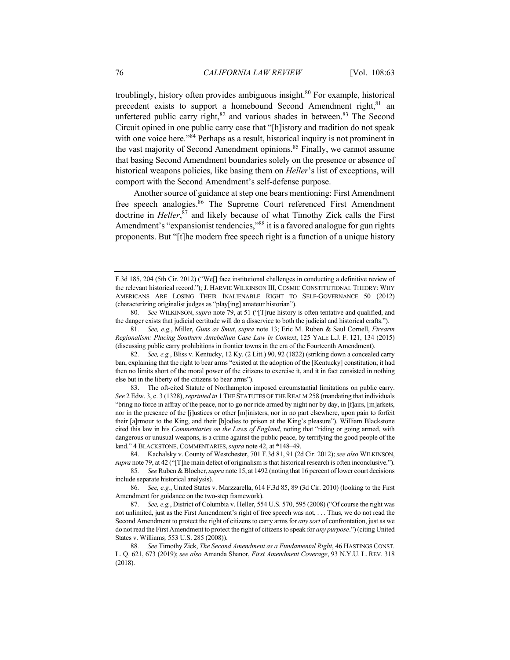troublingly, history often provides ambiguous insight. $80$  For example, historical precedent exists to support a homebound Second Amendment right, 81 an unfettered public carry right, $82$  and various shades in between. $83$  The Second Circuit opined in one public carry case that "[h]istory and tradition do not speak with one voice here."<sup>84</sup> Perhaps as a result, historical inquiry is not prominent in the vast majority of Second Amendment opinions.<sup>85</sup> Finally, we cannot assume that basing Second Amendment boundaries solely on the presence or absence of historical weapons policies, like basing them on *Heller*'s list of exceptions, will comport with the Second Amendment's self-defense purpose.

Another source of guidance at step one bears mentioning: First Amendment free speech analogies.<sup>86</sup> The Supreme Court referenced First Amendment doctrine in *Heller*, <sup>87</sup> and likely because of what Timothy Zick calls the First Amendment's "expansionist tendencies,"<sup>88</sup> it is a favored analogue for gun rights proponents. But "[t]he modern free speech right is a function of a unique history

F.3d 185, 204 (5th Cir. 2012) ("We[] face institutional challenges in conducting a definitive review of the relevant historical record."); J. HARVIE WILKINSON III, COSMIC CONSTITUTIONAL THEORY: WHY AMERICANS ARE LOSING THEIR INALIENABLE RIGHT TO SELF-GOVERNANCE 50 (2012) (characterizing originalist judges as "play[ing] amateur historian").

<sup>80</sup>*. See* WILKINSON, *supra* note 79, at 51 ("[T]rue history is often tentative and qualified, and the danger exists that judicial certitude will do a disservice to both the judicial and historical crafts.").

<sup>81</sup>*. See, e.g.*, Miller, *Guns as Smut*, *supra* note 13; Eric M. Ruben & Saul Cornell, *Firearm Regionalism: Placing Southern Antebellum Case Law in Context*, 125 YALE L.J. F. 121, 134 (2015) (discussing public carry prohibitions in frontier towns in the era of the Fourteenth Amendment).

<sup>82</sup>*. See, e.g.*, Bliss v. Kentucky, 12 Ky. (2 Litt.) 90, 92 (1822) (striking down a concealed carry ban, explaining that the right to bear arms "existed at the adoption of the [Kentucky] constitution; it had then no limits short of the moral power of the citizens to exercise it, and it in fact consisted in nothing else but in the liberty of the citizens to bear arms").

<sup>83.</sup> The oft-cited Statute of Northampton imposed circumstantial limitations on public carry. *See* 2 Edw. 3, c. 3 (1328), *reprinted in* 1 THE STATUTES OF THE REALM 258 (mandating that individuals "bring no force in affray of the peace, nor to go nor ride armed by night nor by day, in [f]airs, [m]arkets, nor in the presence of the [j]ustices or other [m]inisters, nor in no part elsewhere, upon pain to forfeit their [a]rmour to the King, and their [b]odies to prison at the King's pleasure"). William Blackstone cited this law in his *Commentaries on the Laws of England*, noting that "riding or going armed, with dangerous or unusual weapons, is a crime against the public peace, by terrifying the good people of the land." 4 BLACKSTONE, COMMENTARIES,*supra* note 42, at \*148–49.

<sup>84.</sup> Kachalsky v. County of Westchester, 701 F.3d 81, 91 (2d Cir. 2012); *see also* WILKINSON, *supra* note 79, at 42 ("[T]he main defect of originalism is that historical research is often inconclusive.").

<sup>85</sup>*. See* Ruben & Blocher, *supra* note 15, at 1492 (noting that 16 percent of lower court decisions include separate historical analysis).

<sup>86</sup>*. See, e.g.*, United States v. Marzzarella, 614 F.3d 85, 89 (3d Cir. 2010) (looking to the First Amendment for guidance on the two-step framework).

<sup>87</sup>*. See, e.g.*, District of Columbia v. Heller, 554 U.S*.* 570, 595 (2008) ("Of course the right was not unlimited, just as the First Amendment's right of free speech was not, . . . Thus, we do not read the Second Amendment to protect the right of citizens to carry arms for *any sort* of confrontation, just as we do not read the First Amendment to protect the right of citizens to speak for *any purpose*.") (citing United States v. Williams*,* 553 U.S. 285 (2008)).

<sup>88</sup>*. See* Timothy Zick, *The Second Amendment as a Fundamental Right*, 46 HASTINGS CONST. L. Q. 621, 673 (2019); *see also* Amanda Shanor, *First Amendment Coverage*, 93 N.Y.U. L. REV. 318 (2018).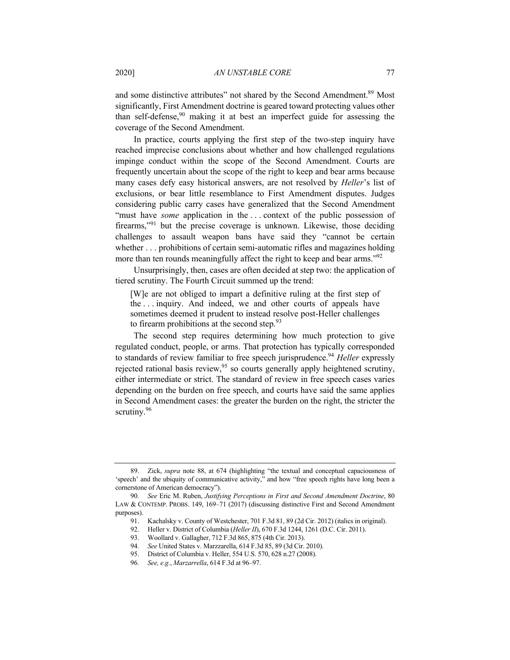and some distinctive attributes" not shared by the Second Amendment.<sup>89</sup> Most significantly, First Amendment doctrine is geared toward protecting values other than self-defense,  $90$  making it at best an imperfect guide for assessing the coverage of the Second Amendment.

In practice, courts applying the first step of the two-step inquiry have reached imprecise conclusions about whether and how challenged regulations impinge conduct within the scope of the Second Amendment. Courts are frequently uncertain about the scope of the right to keep and bear arms because many cases defy easy historical answers, are not resolved by *Heller*'s list of exclusions, or bear little resemblance to First Amendment disputes. Judges considering public carry cases have generalized that the Second Amendment "must have *some* application in the . . . context of the public possession of firearms,"<sup>91</sup> but the precise coverage is unknown. Likewise, those deciding challenges to assault weapon bans have said they "cannot be certain whether . . . prohibitions of certain semi-automatic rifles and magazines holding more than ten rounds meaningfully affect the right to keep and bear arms."<sup>92</sup>

Unsurprisingly, then, cases are often decided at step two: the application of tiered scrutiny. The Fourth Circuit summed up the trend:

[W]e are not obliged to impart a definitive ruling at the first step of the . . . inquiry. And indeed, we and other courts of appeals have sometimes deemed it prudent to instead resolve post-Heller challenges to firearm prohibitions at the second step. $93$ 

The second step requires determining how much protection to give regulated conduct, people, or arms. That protection has typically corresponded to standards of review familiar to free speech jurisprudence.<sup>94</sup> *Heller* expressly rejected rational basis review,  $95$  so courts generally apply heightened scrutiny, either intermediate or strict. The standard of review in free speech cases varies depending on the burden on free speech, and courts have said the same applies in Second Amendment cases: the greater the burden on the right, the stricter the scrutiny.<sup>96</sup>

<sup>89.</sup> Zick, *supra* note 88, at 674 (highlighting "the textual and conceptual capaciousness of 'speech' and the ubiquity of communicative activity," and how "free speech rights have long been a cornerstone of American democracy").

<sup>90</sup>*. See* Eric M. Ruben, *Justifying Perceptions in First and Second Amendment Doctrine*, 80 LAW & CONTEMP. PROBS. 149, 169–71 (2017) (discussing distinctive First and Second Amendment purposes).

<sup>91.</sup> Kachalsky v. County of Westchester, 701 F.3d 81, 89 (2d Cir. 2012) (italics in original).

<sup>92.</sup> Heller v. District of Columbia (*Heller II*), 670 F.3d 1244, 1261 (D.C. Cir. 2011).

<sup>93.</sup> Woollard v. Gallagher, 712 F.3d 865, 875 (4th Cir. 2013).

<sup>94</sup>*. See* United States v. Marzzarella, 614 F.3d 85, 89 (3d Cir. 2010).

<sup>95.</sup> District of Columbia v. Heller, 554 U.S. 570, 628 n.27 (2008).

<sup>96</sup>*. See, e.g.*, *Marzarrella*, 614 F.3d at 96–97.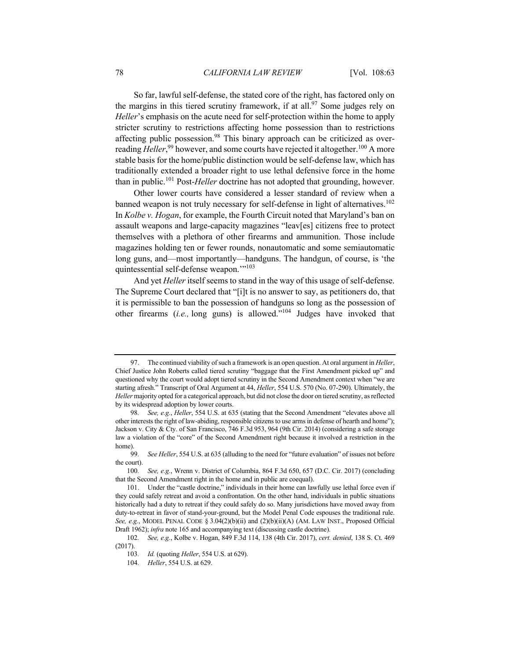So far, lawful self-defense, the stated core of the right, has factored only on the margins in this tiered scrutiny framework, if at all.<sup>97</sup> Some judges rely on *Heller*'s emphasis on the acute need for self-protection within the home to apply stricter scrutiny to restrictions affecting home possession than to restrictions affecting public possession.<sup>98</sup> This binary approach can be criticized as overreading *Heller*,<sup>99</sup> however, and some courts have rejected it altogether.<sup>100</sup> A more stable basis for the home/public distinction would be self-defense law, which has traditionally extended a broader right to use lethal defensive force in the home than in public.101 Post-*Heller* doctrine has not adopted that grounding, however.

Other lower courts have considered a lesser standard of review when a banned weapon is not truly necessary for self-defense in light of alternatives.<sup>102</sup> In *Kolbe v. Hogan*, for example, the Fourth Circuit noted that Maryland's ban on assault weapons and large-capacity magazines "leav[es] citizens free to protect themselves with a plethora of other firearms and ammunition. Those include magazines holding ten or fewer rounds, nonautomatic and some semiautomatic long guns, and—most importantly—handguns. The handgun, of course, is 'the quintessential self-defense weapon."<sup>103</sup>

And yet *Heller* itself seems to stand in the way of this usage of self-defense. The Supreme Court declared that "[i]t is no answer to say, as petitioners do, that it is permissible to ban the possession of handguns so long as the possession of other firearms (*i.e.,* long guns) is allowed."104 Judges have invoked that

<sup>97.</sup> The continued viability of such a framework is an open question. At oral argument in *Heller*, Chief Justice John Roberts called tiered scrutiny "baggage that the First Amendment picked up" and questioned why the court would adopt tiered scrutiny in the Second Amendment context when "we are starting afresh." Transcript of Oral Argument at 44, *Heller*, 554 U.S. 570 (No. 07-290). Ultimately, the *Heller* majority opted for a categorical approach, but did not close the door on tiered scrutiny, as reflected by its widespread adoption by lower courts.

<sup>98</sup>*. See, e.g.*, *Heller*, 554 U.S. at 635 (stating that the Second Amendment "elevates above all other interests the right of law-abiding, responsible citizens to use arms in defense of hearth and home"); Jackson v. City & Cty. of San Francisco, 746 F.3d 953, 964 (9th Cir. 2014) (considering a safe storage law a violation of the "core" of the Second Amendment right because it involved a restriction in the home).

<sup>99</sup>*. See Heller*, 554 U.S. at 635 (alluding to the need for "future evaluation" of issues not before the court).

<sup>100</sup>*. See, e.g.*, Wrenn v. District of Columbia, 864 F.3d 650, 657 (D.C. Cir. 2017) (concluding that the Second Amendment right in the home and in public are coequal).

<sup>101.</sup> Under the "castle doctrine," individuals in their home can lawfully use lethal force even if they could safely retreat and avoid a confrontation. On the other hand, individuals in public situations historically had a duty to retreat if they could safely do so. Many jurisdictions have moved away from duty-to-retreat in favor of stand-your-ground, but the Model Penal Code espouses the traditional rule. *See, e.g.*, MODEL PENAL CODE § 3.04(2)(b)(ii) and (2)(b)(ii)(A) (AM. LAW INST., Proposed Official Draft 1962); *infra* note 165 and accompanying text (discussing castle doctrine).

<sup>102</sup>*. See, e.g.*, Kolbe v. Hogan, 849 F.3d 114, 138 (4th Cir. 2017), *cert. denied*, 138 S. Ct. 469 (2017).

<sup>103</sup>*. Id.* (quoting *Heller*, 554 U.S. at 629).

<sup>104</sup>*. Heller*, 554 U.S. at 629.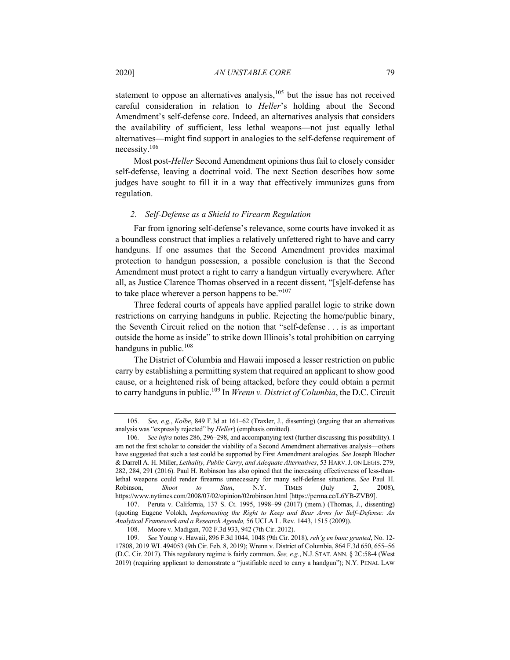statement to oppose an alternatives analysis, $105$  but the issue has not received careful consideration in relation to *Heller*'s holding about the Second Amendment's self-defense core. Indeed, an alternatives analysis that considers the availability of sufficient, less lethal weapons—not just equally lethal alternatives—might find support in analogies to the self-defense requirement of necessity.106

Most post-*Heller* Second Amendment opinions thus fail to closely consider self-defense, leaving a doctrinal void. The next Section describes how some judges have sought to fill it in a way that effectively immunizes guns from regulation.

## *2. Self-Defense as a Shield to Firearm Regulation*

Far from ignoring self-defense's relevance, some courts have invoked it as a boundless construct that implies a relatively unfettered right to have and carry handguns. If one assumes that the Second Amendment provides maximal protection to handgun possession, a possible conclusion is that the Second Amendment must protect a right to carry a handgun virtually everywhere. After all, as Justice Clarence Thomas observed in a recent dissent, "[s]elf-defense has to take place wherever a person happens to be."<sup>107</sup>

Three federal courts of appeals have applied parallel logic to strike down restrictions on carrying handguns in public. Rejecting the home/public binary, the Seventh Circuit relied on the notion that "self-defense . . . is as important outside the home as inside" to strike down Illinois's total prohibition on carrying handguns in public.<sup>108</sup>

The District of Columbia and Hawaii imposed a lesser restriction on public carry by establishing a permitting system that required an applicant to show good cause, or a heightened risk of being attacked, before they could obtain a permit to carry handguns in public.109 In *Wrenn v. District of Columbia*, the D.C. Circuit

<sup>105</sup>*. See, e.g.*, *Kolbe*, 849 F.3d at 161–62 (Traxler, J., dissenting) (arguing that an alternatives analysis was "expressly rejected" by *Heller*) (emphasis omitted).

<sup>106</sup>*. See infra* notes 286, 296–298, and accompanying text (further discussing this possibility). I am not the first scholar to consider the viability of a Second Amendment alternatives analysis—others have suggested that such a test could be supported by First Amendment analogies. *See* Joseph Blocher & Darrell A. H. Miller, *Lethality, Public Carry, and Adequate Alternatives*, 53 HARV.J. ON LEGIS. 279, 282, 284, 291 (2016). Paul H. Robinson has also opined that the increasing effectiveness of less-thanlethal weapons could render firearms unnecessary for many self-defense situations. *See* Paul H. Robinson, *Shoot to Stun*, N.Y. TIMES (July 2, 2008), https://www.nytimes.com/2008/07/02/opinion/02robinson.html [https://perma.cc/L6YB-ZVB9].

<sup>107.</sup> Peruta v. California, 137 S. Ct. 1995, 1998–99 (2017) (mem.) (Thomas, J., dissenting) (quoting Eugene Volokh, *Implementing the Right to Keep and Bear Arms for Self–Defense: An Analytical Framework and a Research Agenda,* 56 UCLA L. Rev. 1443, 1515 (2009)).

<sup>108.</sup> Moore v. Madigan, 702 F.3d 933, 942 (7th Cir. 2012).

<sup>109</sup>*. See* Young v. Hawaii, 896 F.3d 1044, 1048 (9th Cir. 2018), *reh'g en banc granted*, No. 12- 17808, 2019 WL 494053 (9th Cir. Feb. 8, 2019); Wrenn v. District of Columbia, 864 F.3d 650, 655–56 (D.C. Cir. 2017). This regulatory regime is fairly common. *See, e.g.*, N.J. STAT. ANN. § 2C:58-4 (West 2019) (requiring applicant to demonstrate a "justifiable need to carry a handgun"); N.Y. PENAL LAW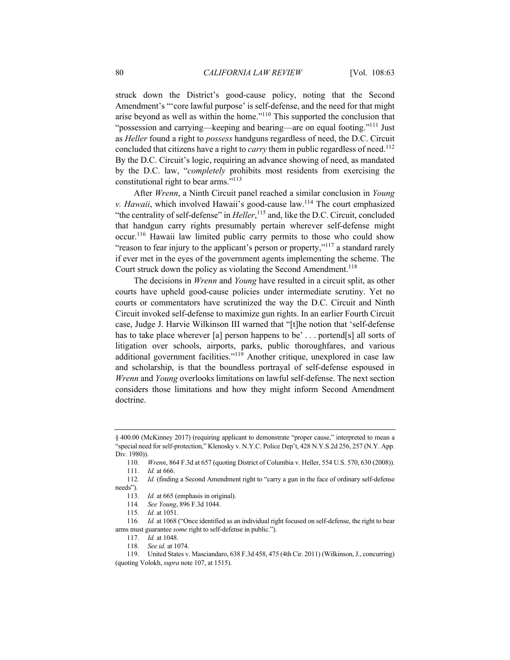struck down the District's good-cause policy, noting that the Second Amendment's "'core lawful purpose' is self-defense, and the need for that might arise beyond as well as within the home."110 This supported the conclusion that "possession and carrying—keeping and bearing—are on equal footing."<sup>111</sup> Just as *Heller* found a right to *possess* handguns regardless of need, the D.C. Circuit concluded that citizens have a right to *carry* them in public regardless of need.<sup>112</sup> By the D.C. Circuit's logic, requiring an advance showing of need, as mandated by the D.C. law, "*completely* prohibits most residents from exercising the constitutional right to bear arms."<sup>113</sup>

After *Wrenn*, a Ninth Circuit panel reached a similar conclusion in *Young v. Hawaii*, which involved Hawaii's good-cause law.<sup>114</sup> The court emphasized "the centrality of self-defense" in *Heller*,<sup>115</sup> and, like the D.C. Circuit, concluded that handgun carry rights presumably pertain wherever self-defense might occur.116 Hawaii law limited public carry permits to those who could show "reason to fear injury to the applicant's person or property,"<sup>117</sup> a standard rarely if ever met in the eyes of the government agents implementing the scheme. The Court struck down the policy as violating the Second Amendment.<sup>118</sup>

The decisions in *Wrenn* and *Young* have resulted in a circuit split, as other courts have upheld good-cause policies under intermediate scrutiny. Yet no courts or commentators have scrutinized the way the D.C. Circuit and Ninth Circuit invoked self-defense to maximize gun rights. In an earlier Fourth Circuit case, Judge J. Harvie Wilkinson III warned that "[t]he notion that 'self-defense has to take place wherever [a] person happens to be' ... portend[s] all sorts of litigation over schools, airports, parks, public thoroughfares, and various additional government facilities."<sup>119</sup> Another critique, unexplored in case law and scholarship, is that the boundless portrayal of self-defense espoused in *Wrenn* and *Young* overlooks limitations on lawful self-defense. The next section considers those limitations and how they might inform Second Amendment doctrine.

<sup>§</sup> 400.00 (McKinney 2017) (requiring applicant to demonstrate "proper cause," interpreted to mean a "special need for self-protection," Klenosky v. N.Y.C. Police Dep't, 428 N.Y.S.2d 256, 257 (N.Y. App. Div. 1980)).

<sup>110</sup>*. Wrenn*, 864 F.3d at 657 (quoting District of Columbia v. Heller, 554 U.S. 570, 630 (2008)). 111*. Id.* at 666.

<sup>112</sup>*. Id.* (finding a Second Amendment right to "carry a gun in the face of ordinary self-defense needs").

<sup>113</sup>*. Id.* at 665 (emphasis in original).

<sup>114</sup>*. See Young*, 896 F.3d 1044.

<sup>115</sup>*. Id.* at 1051.

<sup>116</sup>*. Id.* at 1068 ("Once identified as an individual right focused on self-defense, the right to bear arms must guarantee *some* right to self-defense in public.").

<sup>117</sup>*. Id.* at 1048.

<sup>118</sup>*. See id.* at 1074.

<sup>119.</sup> United States v. Masciandaro, 638 F.3d 458, 475 (4th Cir. 2011) (Wilkinson, J., concurring) (quoting Volokh, *supra* note 107, at 1515).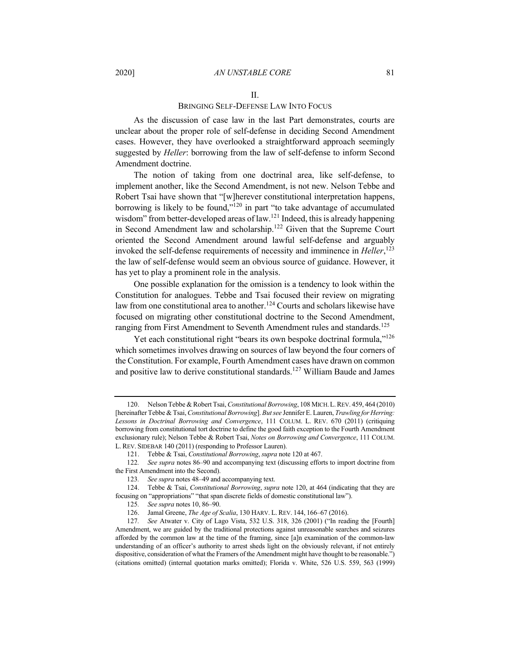#### 2020] *AN UNSTABLE CORE* 81

#### II.

#### BRINGING SELF-DEFENSE LAW INTO FOCUS

As the discussion of case law in the last Part demonstrates, courts are unclear about the proper role of self-defense in deciding Second Amendment cases. However, they have overlooked a straightforward approach seemingly suggested by *Heller*: borrowing from the law of self-defense to inform Second Amendment doctrine.

The notion of taking from one doctrinal area, like self-defense, to implement another, like the Second Amendment, is not new. Nelson Tebbe and Robert Tsai have shown that "[w]herever constitutional interpretation happens, borrowing is likely to be found,"<sup>120</sup> in part "to take advantage of accumulated wisdom" from better-developed areas of law.<sup>121</sup> Indeed, this is already happening in Second Amendment law and scholarship.<sup>122</sup> Given that the Supreme Court oriented the Second Amendment around lawful self-defense and arguably invoked the self-defense requirements of necessity and imminence in *Heller*, 123 the law of self-defense would seem an obvious source of guidance. However, it has yet to play a prominent role in the analysis.

One possible explanation for the omission is a tendency to look within the Constitution for analogues. Tebbe and Tsai focused their review on migrating law from one constitutional area to another.<sup>124</sup> Courts and scholars likewise have focused on migrating other constitutional doctrine to the Second Amendment, ranging from First Amendment to Seventh Amendment rules and standards.<sup>125</sup>

Yet each constitutional right "bears its own bespoke doctrinal formula,"<sup>126</sup> which sometimes involves drawing on sources of law beyond the four corners of the Constitution. For example, Fourth Amendment cases have drawn on common and positive law to derive constitutional standards.<sup>127</sup> William Baude and James

<sup>120.</sup> Nelson Tebbe & Robert Tsai, *Constitutional Borrowing*, 108 MICH.L.REV. 459, 464 (2010) [hereinafter Tebbe & Tsai, *Constitutional Borrowing*]. *But see* Jennifer E. Lauren, *Trawling for Herring: Lessons in Doctrinal Borrowing and Convergence*, 111 COLUM. L. REV. 670 (2011) (critiquing borrowing from constitutional tort doctrine to define the good faith exception to the Fourth Amendment exclusionary rule); Nelson Tebbe & Robert Tsai, *Notes on Borrowing and Convergence*, 111 COLUM. L. REV. SIDEBAR 140 (2011) (responding to Professor Lauren).

<sup>121.</sup> Tebbe & Tsai, *Constitutional Borrowing*, *supra* note 120 at 467.

<sup>122</sup>*. See supra* notes 86–90 and accompanying text (discussing efforts to import doctrine from the First Amendment into the Second).

<sup>123</sup>*. See supra* notes 48–49 and accompanying text.

<sup>124.</sup> Tebbe & Tsai, *Constitutional Borrowing*, *supra* note 120, at 464 (indicating that they are focusing on "appropriations" "that span discrete fields of domestic constitutional law").

<sup>125</sup>*. See supra* notes 10, 86–90.

<sup>126.</sup> Jamal Greene, *The Age of Scalia*, 130 HARV. L. REV. 144, 166–67 (2016).

<sup>127</sup>*. See* Atwater v. City of Lago Vista, 532 U.S. 318, 326 (2001) ("In reading the [Fourth] Amendment, we are guided by the traditional protections against unreasonable searches and seizures afforded by the common law at the time of the framing, since [a]n examination of the common-law understanding of an officer's authority to arrest sheds light on the obviously relevant, if not entirely dispositive, consideration of what the Framers of the Amendment might have thought to be reasonable.") (citations omitted) (internal quotation marks omitted); Florida v. White, 526 U.S. 559, 563 (1999)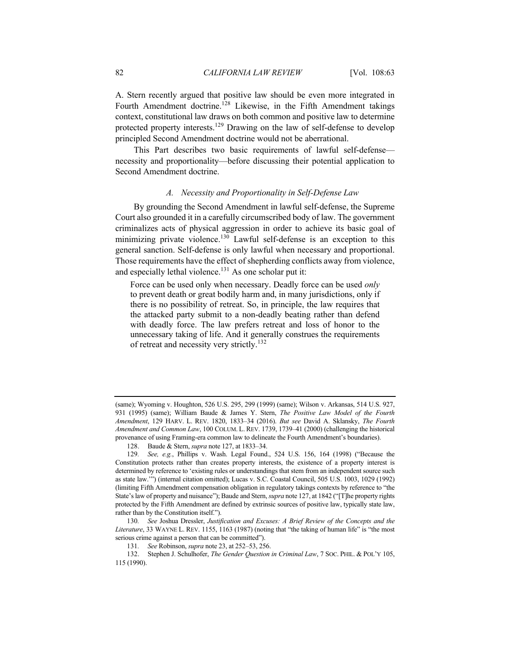A. Stern recently argued that positive law should be even more integrated in Fourth Amendment doctrine.<sup>128</sup> Likewise, in the Fifth Amendment takings context, constitutional law draws on both common and positive law to determine protected property interests.<sup>129</sup> Drawing on the law of self-defense to develop principled Second Amendment doctrine would not be aberrational.

This Part describes two basic requirements of lawful self-defense necessity and proportionality—before discussing their potential application to Second Amendment doctrine.

## *A. Necessity and Proportionality in Self-Defense Law*

By grounding the Second Amendment in lawful self-defense, the Supreme Court also grounded it in a carefully circumscribed body of law. The government criminalizes acts of physical aggression in order to achieve its basic goal of minimizing private violence.<sup>130</sup> Lawful self-defense is an exception to this general sanction. Self-defense is only lawful when necessary and proportional. Those requirements have the effect of shepherding conflicts away from violence, and especially lethal violence.<sup>131</sup> As one scholar put it:

Force can be used only when necessary. Deadly force can be used *only* to prevent death or great bodily harm and, in many jurisdictions, only if there is no possibility of retreat. So, in principle, the law requires that the attacked party submit to a non-deadly beating rather than defend with deadly force. The law prefers retreat and loss of honor to the unnecessary taking of life. And it generally construes the requirements of retreat and necessity very strictly.<sup>132</sup>

<sup>(</sup>same); Wyoming v. Houghton, 526 U.S. 295, 299 (1999) (same); Wilson v. Arkansas, 514 U.S. 927, 931 (1995) (same); William Baude & James Y. Stern, *The Positive Law Model of the Fourth Amendment*, 129 HARV. L. REV. 1820, 1833–34 (2016). *But see* David A. Sklansky, *The Fourth Amendment and Common Law*, 100 COLUM. L. REV. 1739, 1739–41 (2000) (challenging the historical provenance of using Framing-era common law to delineate the Fourth Amendment's boundaries).

<sup>128.</sup> Baude & Stern, *supra* note 127, at 1833–34.

<sup>129</sup>*. See, e.g.*, Phillips v. Wash. Legal Found., 524 U.S. 156, 164 (1998) ("Because the Constitution protects rather than creates property interests, the existence of a property interest is determined by reference to 'existing rules or understandings that stem from an independent source such as state law.'") (internal citation omitted); Lucas v. S.C. Coastal Council, 505 U.S. 1003, 1029 (1992) (limiting Fifth Amendment compensation obligation in regulatory takings contexts by reference to "the State's law of property and nuisance"); Baude and Stern, *supra* note 127, at 1842 ("[T]he property rights protected by the Fifth Amendment are defined by extrinsic sources of positive law, typically state law, rather than by the Constitution itself.").

<sup>130</sup>*. See* Joshua Dressler, *Justification and Excuses: A Brief Review of the Concepts and the Literature*, 33 WAYNE L. REV. 1155, 1163 (1987) (noting that "the taking of human life" is "the most serious crime against a person that can be committed").

<sup>131</sup>*. See* Robinson, *supra* note 23, at 252–53, 256.

<sup>132.</sup> Stephen J. Schulhofer, *The Gender Question in Criminal Law*, 7 SOC. PHIL. & POL'Y 105, 115 (1990).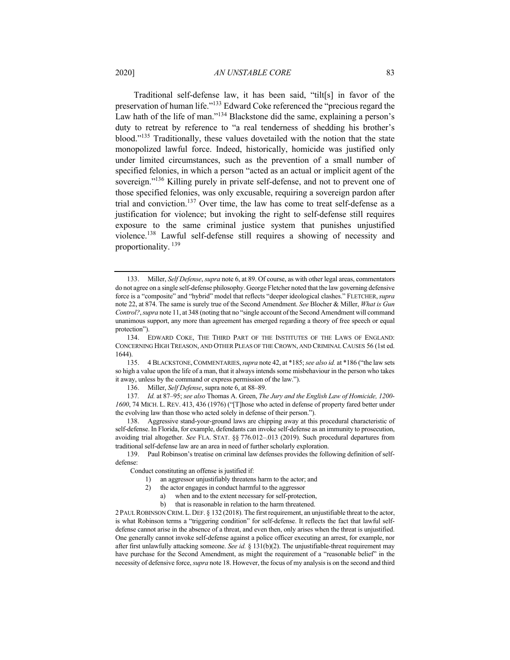Traditional self-defense law, it has been said, "tilt[s] in favor of the preservation of human life."<sup>133</sup> Edward Coke referenced the "precious regard the Law hath of the life of man."<sup>134</sup> Blackstone did the same, explaining a person's duty to retreat by reference to "a real tenderness of shedding his brother's blood."135 Traditionally, these values dovetailed with the notion that the state monopolized lawful force. Indeed, historically, homicide was justified only under limited circumstances, such as the prevention of a small number of specified felonies, in which a person "acted as an actual or implicit agent of the sovereign."<sup>136</sup> Killing purely in private self-defense, and not to prevent one of those specified felonies, was only excusable, requiring a sovereign pardon after trial and conviction.<sup>137</sup> Over time, the law has come to treat self-defense as a justification for violence; but invoking the right to self-defense still requires exposure to the same criminal justice system that punishes unjustified violence.<sup>138</sup> Lawful self-defense still requires a showing of necessity and proportionality. <sup>139</sup>

136. Miller, *Self Defense*, supra note 6, at 88–89.

137*. Id.* at 87–95; *see also* Thomas A. Green, *The Jury and the English Law of Homicide, 1200- 1600*, 74 MICH. L. REV. 413, 436 (1976) ("[T]hose who acted in defense of property fared better under the evolving law than those who acted solely in defense of their person.").

138. Aggressive stand-your-ground laws are chipping away at this procedural characteristic of self-defense. In Florida, for example, defendants can invoke self-defense as an immunity to prosecution, avoiding trial altogether. *See* FLA. STAT. §§ 776.012–.013 (2019). Such procedural departures from traditional self-defense law are an area in need of further scholarly exploration.

139. Paul Robinson's treatise on criminal law defenses provides the following definition of selfdefense:

Conduct constituting an offense is justified if:

- 1) an aggressor unjustifiably threatens harm to the actor; and
- 2) the actor engages in conduct harmful to the aggressor
	- a) when and to the extent necessary for self-protection,
	- b) that is reasonable in relation to the harm threatened.

2PAUL ROBINSON CRIM.L.DEF. § 132 (2018). The first requirement, an unjustifiable threat to the actor, is what Robinson terms a "triggering condition" for self-defense. It reflects the fact that lawful selfdefense cannot arise in the absence of a threat, and even then, only arises when the threat is unjustified. One generally cannot invoke self-defense against a police officer executing an arrest, for example, nor after first unlawfully attacking someone. *See id.* § 131(b)(2). The unjustifiable-threat requirement may have purchase for the Second Amendment, as might the requirement of a "reasonable belief" in the necessity of defensive force, *supra* note 18. However, the focus of my analysis is on the second and third

<sup>133.</sup> Miller, *Self Defense*, *supra* note 6, at 89. Of course, as with other legal areas, commentators do not agree on a single self-defense philosophy. George Fletcher noted that the law governing defensive force is a "composite" and "hybrid" model that reflects "deeper ideological clashes." FLETCHER,*supra*  note 22, at 874. The same is surely true of the Second Amendment. *See* Blocher & Miller, *What is Gun Control?*, *supra* note 11, at 348 (noting that no "single account of the Second Amendment will command unanimous support, any more than agreement has emerged regarding a theory of free speech or equal protection").

<sup>134.</sup> EDWARD COKE, THE THIRD PART OF THE INSTITUTES OF THE LAWS OF ENGLAND: CONCERNING HIGH TREASON, AND OTHER PLEAS OF THE CROWN, AND CRIMINAL CAUSES 56 (1st ed. 1644).

<sup>135.</sup> 4 BLACKSTONE,COMMENTARIES,*supra* note 42, at \*185; *see also id.* at \*186 ("the law sets so high a value upon the life of a man, that it always intends some misbehaviour in the person who takes it away, unless by the command or express permission of the law.").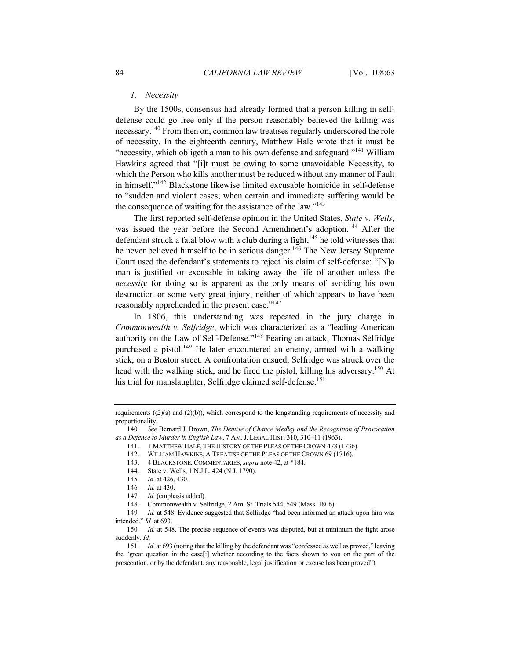## *1. Necessity*

By the 1500s, consensus had already formed that a person killing in selfdefense could go free only if the person reasonably believed the killing was necessary.<sup>140</sup> From then on, common law treatises regularly underscored the role of necessity. In the eighteenth century, Matthew Hale wrote that it must be "necessity, which obligeth a man to his own defense and safeguard."<sup>141</sup> William Hawkins agreed that "[i]t must be owing to some unavoidable Necessity, to which the Person who kills another must be reduced without any manner of Fault in himself."<sup>142</sup> Blackstone likewise limited excusable homicide in self-defense to "sudden and violent cases; when certain and immediate suffering would be the consequence of waiting for the assistance of the law."<sup>143</sup>

The first reported self-defense opinion in the United States, *State v. Wells*, was issued the year before the Second Amendment's adoption.<sup>144</sup> After the defendant struck a fatal blow with a club during a fight,  $145$  he told witnesses that he never believed himself to be in serious danger.<sup>146</sup> The New Jersey Supreme Court used the defendant's statements to reject his claim of self-defense: "[N]o man is justified or excusable in taking away the life of another unless the *necessity* for doing so is apparent as the only means of avoiding his own destruction or some very great injury, neither of which appears to have been reasonably apprehended in the present case."<sup>147</sup>

In 1806, this understanding was repeated in the jury charge in *Commonwealth v. Selfridge*, which was characterized as a "leading American authority on the Law of Self-Defense."<sup>148</sup> Fearing an attack, Thomas Selfridge purchased a pistol.<sup>149</sup> He later encountered an enemy, armed with a walking stick, on a Boston street. A confrontation ensued, Selfridge was struck over the head with the walking stick, and he fired the pistol, killing his adversary.<sup>150</sup> At his trial for manslaughter, Selfridge claimed self-defense.<sup>151</sup>

- 142. WILLIAM HAWKINS, A TREATISE OF THE PLEAS OF THE CROWN 69 (1716).
- 143. 4 BLACKSTONE, COMMENTARIES, *supra* note 42, at \*184.
- 144. State v. Wells, 1 N.J.L. 424 (N.J. 1790).
- 145*. Id.* at 426, 430.
- 146*. Id.* at 430.
- 147*. Id.* (emphasis added).

148. Commonwealth v. Selfridge, 2 Am. St. Trials 544, 549 (Mass. 1806).

requirements  $((2)(a)$  and  $(2)(b)$ ), which correspond to the longstanding requirements of necessity and proportionality.

<sup>140</sup>*. See* Bernard J. Brown, *The Demise of Chance Medley and the Recognition of Provocation as a Defence to Murder in English Law*, 7 AM.J. LEGAL HIST. 310, 310–11 (1963).

<sup>141.</sup> 1 MATTHEW HALE, THE HISTORY OF THE PLEAS OF THE CROWN 478 (1736).

<sup>149.</sup> *Id.* at 548. Evidence suggested that Selfridge "had been informed an attack upon him was intended." *Id.* at 693.

<sup>150</sup>*. Id.* at 548. The precise sequence of events was disputed, but at minimum the fight arose suddenly. *Id.*

<sup>151</sup>*. Id.* at 693 (noting that the killing by the defendant was "confessed as well as proved," leaving the "great question in the case[:] whether according to the facts shown to you on the part of the prosecution, or by the defendant, any reasonable, legal justification or excuse has been proved").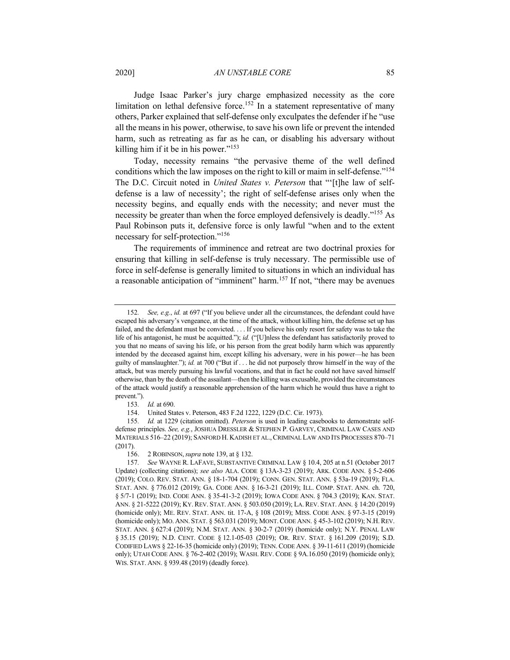Judge Isaac Parker's jury charge emphasized necessity as the core limitation on lethal defensive force.<sup>152</sup> In a statement representative of many others, Parker explained that self-defense only exculpates the defender if he "use all the means in his power, otherwise, to save his own life or prevent the intended harm, such as retreating as far as he can, or disabling his adversary without killing him if it be in his power."<sup>153</sup>

Today, necessity remains "the pervasive theme of the well defined conditions which the law imposes on the right to kill or maim in self-defense."154 The D.C. Circuit noted in *United States v. Peterson* that "'[t]he law of selfdefense is a law of necessity'; the right of self-defense arises only when the necessity begins, and equally ends with the necessity; and never must the necessity be greater than when the force employed defensively is deadly."<sup>155</sup> As Paul Robinson puts it, defensive force is only lawful "when and to the extent necessary for self-protection."<sup>156</sup>

The requirements of imminence and retreat are two doctrinal proxies for ensuring that killing in self-defense is truly necessary. The permissible use of force in self-defense is generally limited to situations in which an individual has a reasonable anticipation of "imminent" harm.<sup>157</sup> If not, "there may be avenues

<sup>152</sup>*. See, e.g.*, *id.* at 697 ("If you believe under all the circumstances, the defendant could have escaped his adversary's vengeance, at the time of the attack, without killing him, the defense set up has failed, and the defendant must be convicted. . . . If you believe his only resort for safety was to take the life of his antagonist, he must be acquitted."); *id.* ("[U]nless the defendant has satisfactorily proved to you that no means of saving his life, or his person from the great bodily harm which was apparently intended by the deceased against him, except killing his adversary, were in his power—he has been guilty of manslaughter."); *id.* at 700 ("But if . . . he did not purposely throw himself in the way of the attack, but was merely pursuing his lawful vocations, and that in fact he could not have saved himself otherwise, than by the death of the assailant—then the killing was excusable, provided the circumstances of the attack would justify a reasonable apprehension of the harm which he would thus have a right to prevent.").

<sup>153</sup>*. Id.* at 690.

<sup>154.</sup> United States v. Peterson, 483 F.2d 1222, 1229 (D.C. Cir. 1973).

<sup>155</sup>*. Id.* at 1229 (citation omitted). *Peterson* is used in leading casebooks to demonstrate selfdefense principles. *See, e.g.*, JOSHUA DRESSLER & STEPHEN P. GARVEY, CRIMINAL LAW CASES AND MATERIALS 516–22 (2019); SANFORD H. KADISH ET AL.,CRIMINAL LAW AND ITS PROCESSES 870–71 (2017).

<sup>156.</sup> 2 ROBINSON,*supra* note 139, at § 132.

<sup>157</sup>*. See* WAYNE R. LAFAVE, SUBSTANTIVE CRIMINAL LAW § 10.4, 205 at n.51 (October 2017 Update) (collecting citations); *see also* ALA. CODE § 13A-3-23 (2019); ARK. CODE ANN. § 5-2-606 (2019); COLO. REV. STAT. ANN. § 18-1-704 (2019); CONN. GEN. STAT. ANN. § 53a-19 (2019); FLA. STAT. ANN. § 776.012 (2019); GA. CODE ANN. § 16-3-21 (2019); ILL. COMP. STAT. ANN. ch. 720, § 5/7-1 (2019); IND. CODE ANN. § 35-41-3-2 (2019); IOWA CODE ANN. § 704.3 (2019); KAN. STAT. ANN. § 21-5222 (2019); KY. REV. STAT. ANN. § 503.050 (2019); LA. REV. STAT. ANN. § 14:20 (2019) (homicide only); ME. REV. STAT. ANN. tit. 17-A, § 108 (2019); MISS. CODE ANN. § 97-3-15 (2019) (homicide only); MO. ANN. STAT. § 563.031 (2019); MONT.CODE ANN. § 45-3-102 (2019); N.H.REV. STAT. ANN. § 627:4 (2019); N.M. STAT. ANN. § 30-2-7 (2019) (homicide only); N.Y. PENAL LAW § 35.15 (2019); N.D. CENT. CODE § 12.1-05-03 (2019); OR. REV. STAT. § 161.209 (2019); S.D. CODIFIED LAWS § 22-16-35 (homicide only) (2019); TENN.CODE ANN. § 39-11-611 (2019) (homicide only); UTAH CODE ANN. § 76-2-402 (2019); WASH. REV. CODE § 9A.16.050 (2019) (homicide only); WIS. STAT. ANN. § 939.48 (2019) (deadly force).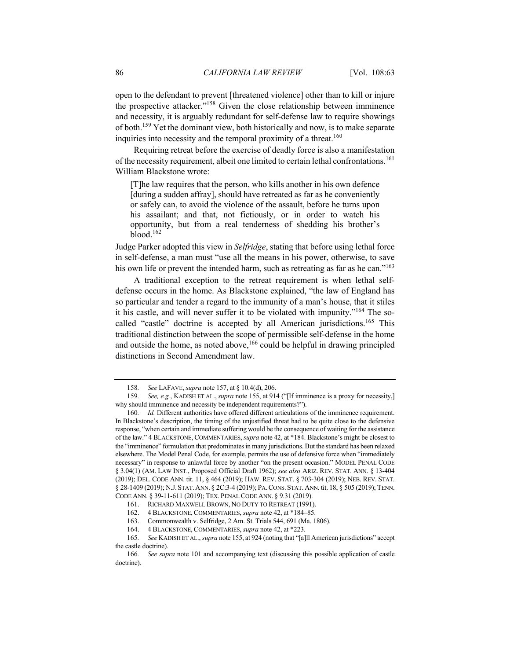open to the defendant to prevent [threatened violence] other than to kill or injure the prospective attacker."<sup>158</sup> Given the close relationship between imminence and necessity, it is arguably redundant for self-defense law to require showings of both.<sup>159</sup> Yet the dominant view, both historically and now, is to make separate inquiries into necessity and the temporal proximity of a threat.<sup>160</sup>

Requiring retreat before the exercise of deadly force is also a manifestation of the necessity requirement, albeit one limited to certain lethal confrontations.<sup>161</sup> William Blackstone wrote:

[T]he law requires that the person, who kills another in his own defence [during a sudden affray], should have retreated as far as he conveniently or safely can, to avoid the violence of the assault, before he turns upon his assailant; and that, not fictiously, or in order to watch his opportunity, but from a real tenderness of shedding his brother's blood.<sup>162</sup>

Judge Parker adopted this view in *Selfridge*, stating that before using lethal force in self-defense, a man must "use all the means in his power, otherwise, to save his own life or prevent the intended harm, such as retreating as far as he can."<sup>163</sup>

A traditional exception to the retreat requirement is when lethal selfdefense occurs in the home. As Blackstone explained, "the law of England has so particular and tender a regard to the immunity of a man's house, that it stiles it his castle, and will never suffer it to be violated with impunity."<sup>164</sup> The socalled "castle" doctrine is accepted by all American jurisdictions.<sup>165</sup> This traditional distinction between the scope of permissible self-defense in the home and outside the home, as noted above,  $166$  could be helpful in drawing principled distinctions in Second Amendment law.

<sup>158</sup>*. See* LAFAVE, *supra* note 157, at § 10.4(d), 206.

<sup>159</sup>*. See, e.g.*, KADISH ET AL., *supra* note 155, at 914 ("[If imminence is a proxy for necessity,] why should imminence and necessity be independent requirements?").

<sup>160</sup>*. Id.* Different authorities have offered different articulations of the imminence requirement. In Blackstone's description, the timing of the unjustified threat had to be quite close to the defensive response, "when certain and immediate suffering would be the consequence of waiting for the assistance of the law." 4 BLACKSTONE, COMMENTARIES, *supra* note 42, at \*184. Blackstone's might be closest to the "imminence" formulation that predominates in many jurisdictions. But the standard has been relaxed elsewhere. The Model Penal Code, for example, permits the use of defensive force when "immediately necessary" in response to unlawful force by another "on the present occasion." MODEL PENAL CODE § 3.04(1) (AM. LAW INST., Proposed Official Draft 1962); *see also* ARIZ. REV. STAT. ANN. § 13-404 (2019); DEL. CODE ANN. tit. 11, § 464 (2019); HAW. REV. STAT. § 703-304 (2019); NEB. REV. STAT. § 28-1409 (2019); N.J. STAT.ANN. § 2C:3-4 (2019); PA.CONS. STAT.ANN. tit. 18, § 505 (2019); TENN. CODE ANN. § 39-11-611 (2019); TEX. PENAL CODE ANN. § 9.31 (2019).

<sup>161.</sup> RICHARD MAXWELL BROWN, NO DUTY TO RETREAT (1991).

<sup>162.</sup> 4 BLACKSTONE, COMMENTARIES, *supra* note 42, at \*184–85.

<sup>163.</sup> Commonwealth v. Selfridge, 2 Am. St. Trials 544, 691 (Ma. 1806).

<sup>164.</sup> 4 BLACKSTONE, COMMENTARIES, *supra* note 42, at \*223.

<sup>165</sup>*. See* KADISH ET AL., *supra* note 155, at 924 (noting that "[a]ll American jurisdictions" accept the castle doctrine).

<sup>166</sup>*. See supra* note 101 and accompanying text (discussing this possible application of castle doctrine).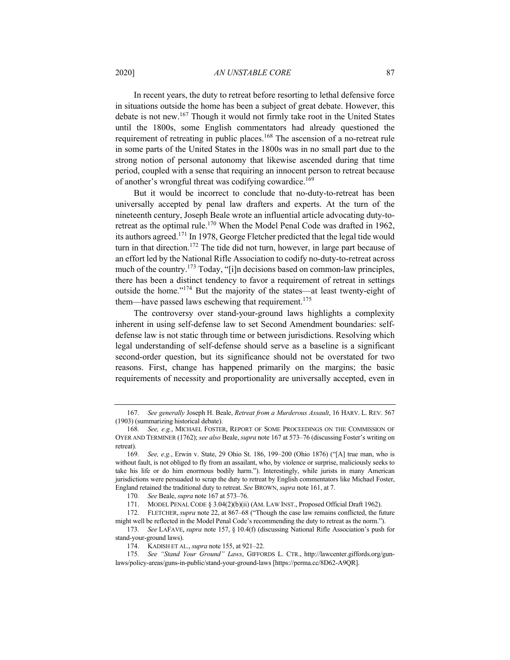#### 2020] *AN UNSTABLE CORE* 87

In recent years, the duty to retreat before resorting to lethal defensive force in situations outside the home has been a subject of great debate. However, this debate is not new.<sup>167</sup> Though it would not firmly take root in the United States until the 1800s, some English commentators had already questioned the requirement of retreating in public places.<sup>168</sup> The ascension of a no-retreat rule in some parts of the United States in the 1800s was in no small part due to the strong notion of personal autonomy that likewise ascended during that time period, coupled with a sense that requiring an innocent person to retreat because of another's wrongful threat was codifying cowardice.<sup>169</sup>

But it would be incorrect to conclude that no-duty-to-retreat has been universally accepted by penal law drafters and experts. At the turn of the nineteenth century, Joseph Beale wrote an influential article advocating duty-toretreat as the optimal rule.<sup>170</sup> When the Model Penal Code was drafted in 1962, its authors agreed.<sup>171</sup> In 1978, George Fletcher predicted that the legal tide would turn in that direction.<sup>172</sup> The tide did not turn, however, in large part because of an effort led by the National Rifle Association to codify no-duty-to-retreat across much of the country.<sup>173</sup> Today, "[i]n decisions based on common-law principles, there has been a distinct tendency to favor a requirement of retreat in settings outside the home."<sup>174</sup> But the majority of the states—at least twenty-eight of them—have passed laws eschewing that requirement.<sup>175</sup>

The controversy over stand-your-ground laws highlights a complexity inherent in using self-defense law to set Second Amendment boundaries: selfdefense law is not static through time or between jurisdictions. Resolving which legal understanding of self-defense should serve as a baseline is a significant second-order question, but its significance should not be overstated for two reasons. First, change has happened primarily on the margins; the basic requirements of necessity and proportionality are universally accepted, even in

<sup>167</sup>*. See generally* Joseph H. Beale, *Retreat from a Murderous Assault*, 16 HARV. L. REV. 567 (1903) (summarizing historical debate).

<sup>168</sup>*. See, e.g.*, MICHAEL FOSTER, REPORT OF SOME PROCEEDINGS ON THE COMMISSION OF OYER AND TERMINER (1762); *see also* Beale, *supra* note 167 at 573–76 (discussing Foster's writing on retreat).

<sup>169</sup>*. See, e.g.*, Erwin v. State, 29 Ohio St. 186, 199–200 (Ohio 1876) ("[A] true man, who is without fault, is not obliged to fly from an assailant, who, by violence or surprise, maliciously seeks to take his life or do him enormous bodily harm."). Interestingly, while jurists in many American jurisdictions were persuaded to scrap the duty to retreat by English commentators like Michael Foster, England retained the traditional duty to retreat. *See* BROWN, *supra* note 161, at 7.

<sup>170</sup>*. See* Beale, *supra* note 167 at 573–76.

<sup>171.</sup> MODEL PENAL CODE § 3.04(2)(b)(ii) (AM. LAW INST., Proposed Official Draft 1962).

<sup>172.</sup> FLETCHER, *supra* note 22, at 867–68 ("Though the case law remains conflicted, the future might well be reflected in the Model Penal Code's recommending the duty to retreat as the norm.").

<sup>173</sup>*. See* LAFAVE, *supra* note 157, § 10.4(f) (discussing National Rifle Association's push for stand-your-ground laws).

<sup>174.</sup> KADISH ET AL., *supra* note 155, at 921–22.

<sup>175</sup>*. See "Stand Your Ground" Laws*, GIFFORDS L. CTR., http://lawcenter.giffords.org/gunlaws/policy-areas/guns-in-public/stand-your-ground-laws [https://perma.cc/8D62-A9QR].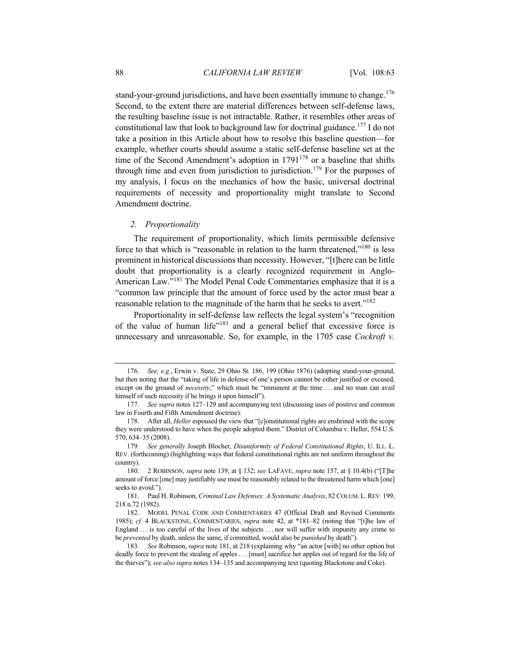stand-your-ground jurisdictions, and have been essentially immune to change.<sup>176</sup> Second, to the extent there are material differences between self-defense laws, the resulting baseline issue is not intractable. Rather, it resembles other areas of constitutional law that look to background law for doctrinal guidance.177 I do not take a position in this Article about how to resolve this baseline question—for example, whether courts should assume a static self-defense baseline set at the time of the Second Amendment's adoption in  $1791^{178}$  or a baseline that shifts through time and even from jurisdiction to jurisdiction.<sup>179</sup> For the purposes of my analysis, I focus on the mechanics of how the basic, universal doctrinal requirements of necessity and proportionality might translate to Second Amendment doctrine.

## *2. Proportionality*

The requirement of proportionality, which limits permissible defensive force to that which is "reasonable in relation to the harm threatened,"<sup>180</sup> is less prominent in historical discussions than necessity. However, "[t]here can be little doubt that proportionality is a clearly recognized requirement in Anglo-American Law."<sup>181</sup> The Model Penal Code Commentaries emphasize that it is a "common law principle that the amount of force used by the actor must bear a reasonable relation to the magnitude of the harm that he seeks to avert."<sup>182</sup>

Proportionality in self-defense law reflects the legal system's "recognition of the value of human life"<sup>183</sup> and a general belief that excessive force is unnecessary and unreasonable. So, for example, in the 1705 case *Cockroft v.* 

<sup>176</sup>*. See, e.g.*, Erwin v. State, 29 Ohio St. 186, 199 (Ohio 1876) (adopting stand-your-ground, but then noting that the "taking of life in defense of one's person cannot be either justified or excused, except on the ground of *necessity*," which must be "imminent at the time . . . and no man can avail himself of such necessity if he brings it upon himself").

<sup>177</sup>*. See supra* notes 127–129 and accompanying text (discussing uses of positive and common law in Fourth and Fifth Amendment doctrine).

<sup>178.</sup> After all, *Heller* espoused the view that "[c]onstitutional rights are enshrined with the scope they were understood to have when the people adopted them." District of Columbia v. Heller, 554 U.S. 570, 634–35 (2008).

<sup>179</sup>*. See generally* Joseph Blocher, *Disuniformity of Federal Constitutional Rights*, U. ILL. L. REV. (forthcoming) (highlighting ways that federal constitutional rights are not uniform throughout the country).

<sup>180.</sup> 2 ROBINSON, *supra* note 139, at § 132; *see* LAFAVE, *supra* note 157, at § 10.4(b) ("[T]he amount of force [one] may justifiably use must be reasonably related to the threatened harm which [one] seeks to avoid.").

<sup>181.</sup> Paul H. Robinson, *Criminal Law Defenses: A Systematic Analysis*, 82 COLUM.L.REV. 199, 218 n.72 (1982).

<sup>182.</sup> MODEL PENAL CODE AND COMMENTARIES 47 (Official Draft and Revised Comments 1985); *cf.* 4 BLACKSTONE, COMMENTARIES, *supra* note 42, at \*181–82 (noting that "[t]he law of England . . . is too careful of the lives of the subjects . . . nor will suffer with impunity any crime to be *prevented* by death, unless the same, if committed, would also be *punished* by death").

<sup>183</sup>*. See* Robinson, *supra* note 181, at 218 (explaining why "an actor [with] no other option but deadly force to prevent the stealing of apples . . . [must] sacrifice her apples out of regard for the life of the thieves"); *see also supra* notes 134–135 and accompanying text (quoting Blackstone and Coke).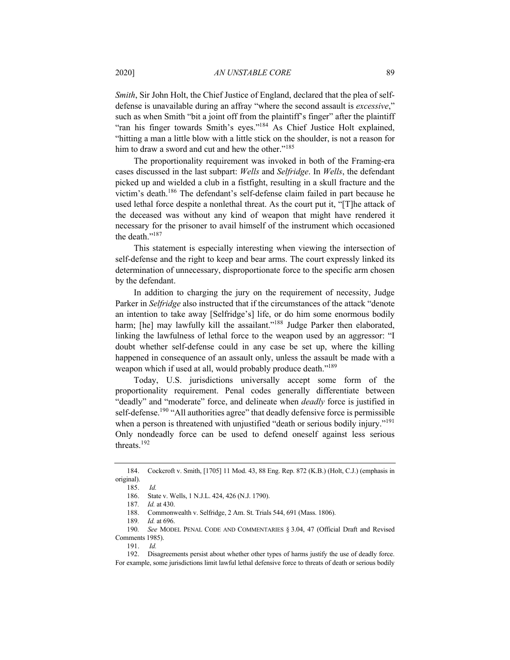*Smith*, Sir John Holt, the Chief Justice of England, declared that the plea of selfdefense is unavailable during an affray "where the second assault is *excessive*," such as when Smith "bit a joint off from the plaintiff's finger" after the plaintiff "ran his finger towards Smith's eyes."<sup>184</sup> As Chief Justice Holt explained, "hitting a man a little blow with a little stick on the shoulder, is not a reason for him to draw a sword and cut and hew the other."<sup>185</sup>

The proportionality requirement was invoked in both of the Framing-era cases discussed in the last subpart: *Wells* and *Selfridge*. In *Wells*, the defendant picked up and wielded a club in a fistfight, resulting in a skull fracture and the victim's death.186 The defendant's self-defense claim failed in part because he used lethal force despite a nonlethal threat. As the court put it, "[T]he attack of the deceased was without any kind of weapon that might have rendered it necessary for the prisoner to avail himself of the instrument which occasioned the death."187

This statement is especially interesting when viewing the intersection of self-defense and the right to keep and bear arms. The court expressly linked its determination of unnecessary, disproportionate force to the specific arm chosen by the defendant.

In addition to charging the jury on the requirement of necessity, Judge Parker in *Selfridge* also instructed that if the circumstances of the attack "denote an intention to take away [Selfridge's] life, or do him some enormous bodily harm; [he] may lawfully kill the assailant."<sup>188</sup> Judge Parker then elaborated, linking the lawfulness of lethal force to the weapon used by an aggressor: "I doubt whether self-defense could in any case be set up, where the killing happened in consequence of an assault only, unless the assault be made with a weapon which if used at all, would probably produce death."<sup>189</sup>

Today, U.S. jurisdictions universally accept some form of the proportionality requirement. Penal codes generally differentiate between "deadly" and "moderate" force, and delineate when *deadly* force is justified in self-defense.<sup>190</sup> "All authorities agree" that deadly defensive force is permissible when a person is threatened with unjustified "death or serious bodily injury."<sup>191</sup> Only nondeadly force can be used to defend oneself against less serious threats.<sup>192</sup>

<sup>184.</sup> Cockcroft v. Smith, [1705] 11 Mod. 43, 88 Eng. Rep. 872 (K.B.) (Holt, C.J.) (emphasis in original).

<sup>185.</sup> *Id.*

<sup>186.</sup> State v. Wells, 1 N.J.L. 424, 426 (N.J. 1790).

<sup>187</sup>*. Id.* at 430.

<sup>188.</sup> Commonwealth v. Selfridge, 2 Am. St. Trials 544, 691 (Mass. 1806).

<sup>189</sup>*. Id.* at 696.

<sup>190</sup>*. See* MODEL PENAL CODE AND COMMENTARIES § 3.04, 47 (Official Draft and Revised Comments 1985).

<sup>191.</sup> *Id.*

<sup>192.</sup> Disagreements persist about whether other types of harms justify the use of deadly force. For example, some jurisdictions limit lawful lethal defensive force to threats of death or serious bodily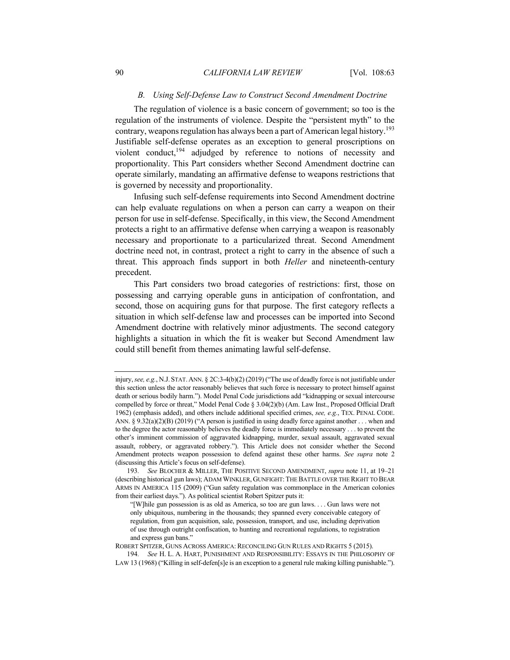## *B. Using Self-Defense Law to Construct Second Amendment Doctrine*

The regulation of violence is a basic concern of government; so too is the regulation of the instruments of violence. Despite the "persistent myth" to the contrary, weapons regulation has always been a part of American legal history.<sup>193</sup> Justifiable self-defense operates as an exception to general proscriptions on violent conduct, $194$  adjudged by reference to notions of necessity and proportionality. This Part considers whether Second Amendment doctrine can operate similarly, mandating an affirmative defense to weapons restrictions that is governed by necessity and proportionality.

Infusing such self-defense requirements into Second Amendment doctrine can help evaluate regulations on when a person can carry a weapon on their person for use in self-defense. Specifically, in this view, the Second Amendment protects a right to an affirmative defense when carrying a weapon is reasonably necessary and proportionate to a particularized threat. Second Amendment doctrine need not, in contrast, protect a right to carry in the absence of such a threat. This approach finds support in both *Heller* and nineteenth-century precedent.

This Part considers two broad categories of restrictions: first, those on possessing and carrying operable guns in anticipation of confrontation, and second, those on acquiring guns for that purpose. The first category reflects a situation in which self-defense law and processes can be imported into Second Amendment doctrine with relatively minor adjustments. The second category highlights a situation in which the fit is weaker but Second Amendment law could still benefit from themes animating lawful self-defense.

injury, *see, e.g.*, N.J. STAT. ANN. § 2C:3-4(b)(2) (2019) ("The use of deadly force is not justifiable under this section unless the actor reasonably believes that such force is necessary to protect himself against death or serious bodily harm."). Model Penal Code jurisdictions add "kidnapping or sexual intercourse compelled by force or threat," Model Penal Code § 3.04(2)(b) (Am. Law Inst., Proposed Official Draft 1962) (emphasis added), and others include additional specified crimes, *see, e.g.*, TEX. PENAL CODE. ANN. § 9.32(a)(2)(B) (2019) ("A person is justified in using deadly force against another . . . when and to the degree the actor reasonably believes the deadly force is immediately necessary . . . to prevent the other's imminent commission of aggravated kidnapping, murder, sexual assault, aggravated sexual assault, robbery, or aggravated robbery."). This Article does not consider whether the Second Amendment protects weapon possession to defend against these other harms. *See supra* note 2 (discussing this Article's focus on self-defense).

<sup>193</sup>*. See* BLOCHER & MILLER, THE POSITIVE SECOND AMENDMENT, *supra* note 11, at 19–21 (describing historical gun laws); ADAM WINKLER, GUNFIGHT: THE BATTLE OVER THE RIGHT TO BEAR ARMS IN AMERICA 115 (2009) ("Gun safety regulation was commonplace in the American colonies from their earliest days."). As political scientist Robert Spitzer puts it:

<sup>&</sup>quot;[W]hile gun possession is as old as America, so too are gun laws. . . . Gun laws were not only ubiquitous, numbering in the thousands; they spanned every conceivable category of regulation, from gun acquisition, sale, possession, transport, and use, including deprivation of use through outright confiscation, to hunting and recreational regulations, to registration and express gun bans."

ROBERT SPITZER, GUNS ACROSS AMERICA: RECONCILING GUN RULES AND RIGHTS 5 (2015).

<sup>194</sup>*. See* H. L. A. HART, PUNISHMENT AND RESPONSIBILITY: ESSAYS IN THE PHILOSOPHY OF LAW 13 (1968) ("Killing in self-defen[s]e is an exception to a general rule making killing punishable.").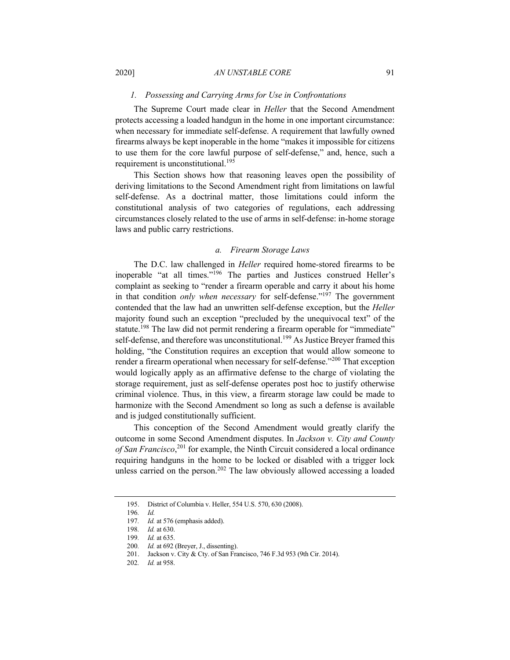#### *1. Possessing and Carrying Arms for Use in Confrontations*

The Supreme Court made clear in *Heller* that the Second Amendment protects accessing a loaded handgun in the home in one important circumstance: when necessary for immediate self-defense. A requirement that lawfully owned firearms always be kept inoperable in the home "makes it impossible for citizens to use them for the core lawful purpose of self-defense," and, hence, such a requirement is unconstitutional.<sup>195</sup>

This Section shows how that reasoning leaves open the possibility of deriving limitations to the Second Amendment right from limitations on lawful self-defense. As a doctrinal matter, those limitations could inform the constitutional analysis of two categories of regulations, each addressing circumstances closely related to the use of arms in self-defense: in-home storage laws and public carry restrictions.

#### *a. Firearm Storage Laws*

The D.C. law challenged in *Heller* required home-stored firearms to be inoperable "at all times."196 The parties and Justices construed Heller's complaint as seeking to "render a firearm operable and carry it about his home in that condition *only when necessary* for self-defense."197 The government contended that the law had an unwritten self-defense exception, but the *Heller* majority found such an exception "precluded by the unequivocal text" of the statute.<sup>198</sup> The law did not permit rendering a firearm operable for "immediate" self-defense, and therefore was unconstitutional.<sup>199</sup> As Justice Brever framed this holding, "the Constitution requires an exception that would allow someone to render a firearm operational when necessary for self-defense."<sup>200</sup> That exception would logically apply as an affirmative defense to the charge of violating the storage requirement, just as self-defense operates post hoc to justify otherwise criminal violence. Thus, in this view, a firearm storage law could be made to harmonize with the Second Amendment so long as such a defense is available and is judged constitutionally sufficient.

This conception of the Second Amendment would greatly clarify the outcome in some Second Amendment disputes. In *Jackson v. City and County*  of San Francisco,<sup>201</sup> for example, the Ninth Circuit considered a local ordinance requiring handguns in the home to be locked or disabled with a trigger lock unless carried on the person.<sup>202</sup> The law obviously allowed accessing a loaded

<sup>195.</sup> District of Columbia v. Heller, 554 U.S. 570, 630 (2008).

<sup>196</sup>*. Id.*

<sup>197</sup>*. Id.* at 576 (emphasis added).

<sup>198</sup>*. Id.* at 630.

<sup>199</sup>*. Id.* at 635.

<sup>200</sup>*. Id.* at 692 (Breyer, J., dissenting).

<sup>201.</sup> Jackson v. City & Cty. of San Francisco, 746 F.3d 953 (9th Cir. 2014).

<sup>202</sup>*. Id.* at 958.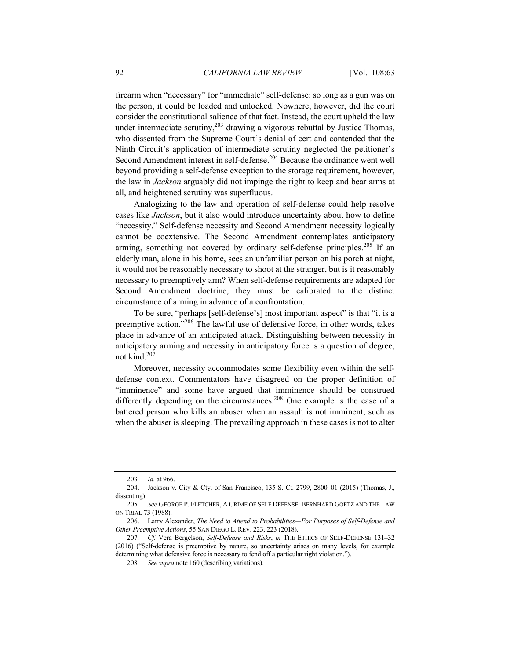firearm when "necessary" for "immediate" self-defense: so long as a gun was on the person, it could be loaded and unlocked. Nowhere, however, did the court consider the constitutional salience of that fact. Instead, the court upheld the law under intermediate scrutiny,  $203$  drawing a vigorous rebuttal by Justice Thomas, who dissented from the Supreme Court's denial of cert and contended that the Ninth Circuit's application of intermediate scrutiny neglected the petitioner's Second Amendment interest in self-defense.<sup>204</sup> Because the ordinance went well beyond providing a self-defense exception to the storage requirement, however, the law in *Jackson* arguably did not impinge the right to keep and bear arms at all, and heightened scrutiny was superfluous.

Analogizing to the law and operation of self-defense could help resolve cases like *Jackson*, but it also would introduce uncertainty about how to define "necessity." Self-defense necessity and Second Amendment necessity logically cannot be coextensive. The Second Amendment contemplates anticipatory arming, something not covered by ordinary self-defense principles.<sup>205</sup> If an elderly man, alone in his home, sees an unfamiliar person on his porch at night, it would not be reasonably necessary to shoot at the stranger, but is it reasonably necessary to preemptively arm? When self-defense requirements are adapted for Second Amendment doctrine, they must be calibrated to the distinct circumstance of arming in advance of a confrontation.

To be sure, "perhaps [self-defense's] most important aspect" is that "it is a preemptive action."<sup>206</sup> The lawful use of defensive force, in other words, takes place in advance of an anticipated attack. Distinguishing between necessity in anticipatory arming and necessity in anticipatory force is a question of degree, not kind.<sup>207</sup>

Moreover, necessity accommodates some flexibility even within the selfdefense context. Commentators have disagreed on the proper definition of "imminence" and some have argued that imminence should be construed differently depending on the circumstances.<sup>208</sup> One example is the case of a battered person who kills an abuser when an assault is not imminent, such as when the abuser is sleeping. The prevailing approach in these cases is not to alter

<sup>203</sup>*. Id.* at 966.

<sup>204.</sup> Jackson v. City & Cty. of San Francisco, 135 S. Ct. 2799, 2800–01 (2015) (Thomas, J., dissenting).

<sup>205</sup>*. See* GEORGE P. FLETCHER, A CRIME OF SELF DEFENSE: BERNHARD GOETZ AND THE LAW ON TRIAL 73 (1988).

<sup>206.</sup> Larry Alexander, *The Need to Attend to Probabilities—For Purposes of Self-Defense and Other Preemptive Actions*, 55 SAN DIEGO L. REV. 223, 223 (2018).

<sup>207</sup>*. Cf.* Vera Bergelson, *Self-Defense and Risks*, *in* THE ETHICS OF SELF-DEFENSE 131–32 (2016) ("Self-defense is preemptive by nature, so uncertainty arises on many levels, for example determining what defensive force is necessary to fend off a particular right violation.").

<sup>208</sup>*. See supra* note 160 (describing variations).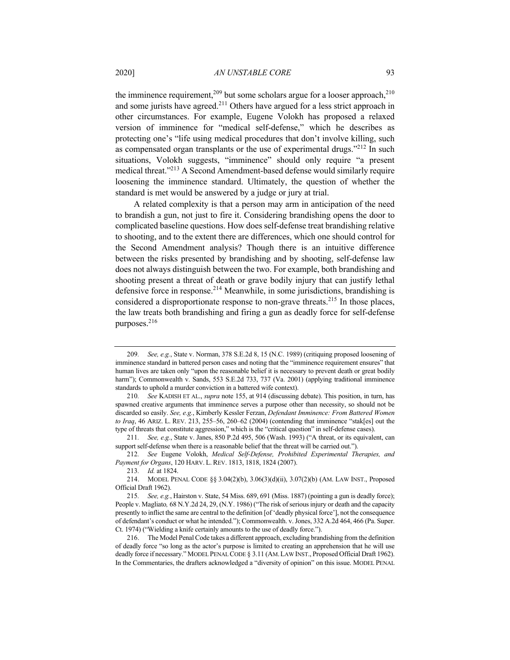the imminence requirement,<sup>209</sup> but some scholars argue for a looser approach,<sup>210</sup> and some jurists have agreed.<sup>211</sup> Others have argued for a less strict approach in other circumstances. For example, Eugene Volokh has proposed a relaxed version of imminence for "medical self-defense," which he describes as protecting one's "life using medical procedures that don't involve killing, such as compensated organ transplants or the use of experimental drugs."<sup>212</sup> In such situations, Volokh suggests, "imminence" should only require "a present medical threat."213 A Second Amendment-based defense would similarly require loosening the imminence standard. Ultimately, the question of whether the standard is met would be answered by a judge or jury at trial.

A related complexity is that a person may arm in anticipation of the need to brandish a gun, not just to fire it. Considering brandishing opens the door to complicated baseline questions. How does self-defense treat brandishing relative to shooting, and to the extent there are differences, which one should control for the Second Amendment analysis? Though there is an intuitive difference between the risks presented by brandishing and by shooting, self-defense law does not always distinguish between the two. For example, both brandishing and shooting present a threat of death or grave bodily injury that can justify lethal defensive force in response.<sup>214</sup> Meanwhile, in some jurisdictions, brandishing is considered a disproportionate response to non-grave threats.<sup>215</sup> In those places, the law treats both brandishing and firing a gun as deadly force for self-defense purposes.216

211*. See, e.g.*, State v. Janes, 850 P.2d 495, 506 (Wash. 1993) ("A threat, or its equivalent, can support self-defense when there is a reasonable belief that the threat will be carried out.").

212*. See* Eugene Volokh, *Medical Self-Defense, Prohibited Experimental Therapies, and Payment for Organs*, 120 HARV. L. REV. 1813, 1818, 1824 (2007).

216. The Model Penal Code takes a different approach, excluding brandishing from the definition of deadly force "so long as the actor's purpose is limited to creating an apprehension that he will use deadly force if necessary." MODEL PENAL CODE § 3.11 (AM.LAW INST., Proposed Official Draft 1962). In the Commentaries, the drafters acknowledged a "diversity of opinion" on this issue. MODEL PENAL

<sup>209</sup>*. See, e.g.*, State v. Norman, 378 S.E.2d 8, 15 (N.C. 1989) (critiquing proposed loosening of imminence standard in battered person cases and noting that the "imminence requirement ensures" that human lives are taken only "upon the reasonable belief it is necessary to prevent death or great bodily harm"); Commonwealth v. Sands, 553 S.E.2d 733, 737 (Va. 2001) (applying traditional imminence standards to uphold a murder conviction in a battered wife context).

<sup>210</sup>*. See* KADISH ET AL., *supra* note 155, at 914 (discussing debate). This position, in turn, has spawned creative arguments that imminence serves a purpose other than necessity, so should not be discarded so easily. *See, e.g.*, Kimberly Kessler Ferzan, *Defendant Imminence: From Battered Women to Iraq*, 46 ARIZ. L. REV. 213, 255–56, 260–62 (2004) (contending that imminence "stak[es] out the type of threats that constitute aggression," which is the "critical question" in self-defense cases).

<sup>213</sup>*. Id.* at 1824.

<sup>214.</sup> MODEL PENAL CODE §§ 3.04(2)(b), 3.06(3)(d)(ii), 3.07(2)(b) (AM. LAW INST., Proposed Official Draft 1962).

<sup>215</sup>*. See, e.g.*, Hairston v. State, 54 Miss. 689, 691 (Miss. 1887) (pointing a gun is deadly force); People v. Magliato*,* 68 N.Y.2d 24, 29, (N.Y. 1986) ("The risk of serious injury or death and the capacity presently to inflict the same are central to the definition [of 'deadly physical force'], not the consequence of defendant's conduct or what he intended."); Commonwealth. v. Jones, 332 A.2d 464, 466 (Pa. Super. Ct. 1974) ("Wielding a knife certainly amounts to the use of deadly force.").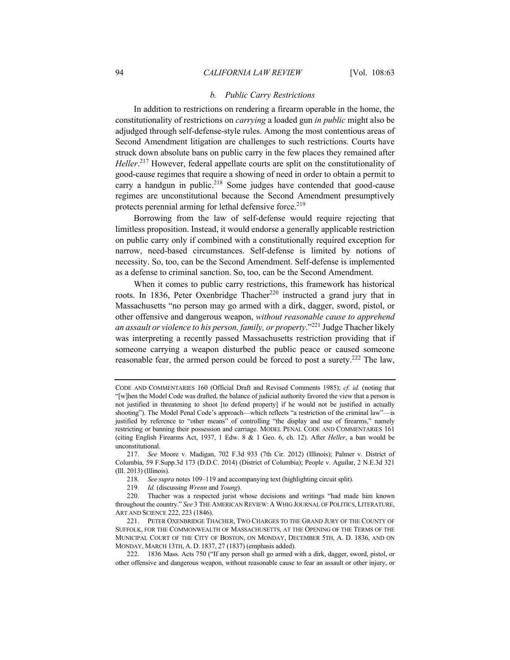#### *b. Public Carry Restrictions*

In addition to restrictions on rendering a firearm operable in the home, the constitutionality of restrictions on *carrying* a loaded gun *in public* might also be adjudged through self-defense-style rules. Among the most contentious areas of Second Amendment litigation are challenges to such restrictions. Courts have struck down absolute bans on public carry in the few places they remained after *Heller*. <sup>217</sup> However, federal appellate courts are split on the constitutionality of good-cause regimes that require a showing of need in order to obtain a permit to carry a handgun in public.<sup>218</sup> Some judges have contended that good-cause regimes are unconstitutional because the Second Amendment presumptively protects perennial arming for lethal defensive force.<sup>219</sup>

Borrowing from the law of self-defense would require rejecting that limitless proposition. Instead, it would endorse a generally applicable restriction on public carry only if combined with a constitutionally required exception for narrow, need-based circumstances. Self-defense is limited by notions of necessity. So, too, can be the Second Amendment. Self-defense is implemented as a defense to criminal sanction. So, too, can be the Second Amendment.

When it comes to public carry restrictions, this framework has historical roots. In 1836, Peter Oxenbridge Thacher<sup>220</sup> instructed a grand jury that in Massachusetts "no person may go armed with a dirk, dagger, sword, pistol, or other offensive and dangerous weapon, *without reasonable cause to apprehend an assault or violence to his person, family, or property*."<sup>221</sup> Judge Thacher likely was interpreting a recently passed Massachusetts restriction providing that if someone carrying a weapon disturbed the public peace or caused someone reasonable fear, the armed person could be forced to post a surety.<sup>222</sup> The law,

CODE AND COMMENTARIES 160 (Official Draft and Revised Comments 1985); *cf. id.* (noting that "[w]hen the Model Code was drafted, the balance of judicial authority favored the view that a person is not justified in threatening to shoot [to defend property] if he would not be justified in actually shooting"). The Model Penal Code's approach—which reflects "a restriction of the criminal law"—is justified by reference to "other means" of controlling "the display and use of firearms," namely restricting or banning their possession and carriage. MODEL PENAL CODE AND COMMENTARIES 161 (citing English Firearms Act, 1937, 1 Edw. 8 & 1 Geo. 6, ch. 12). After *Heller*, a ban would be unconstitutional.

<sup>217</sup>*. See* Moore v. Madigan, 702 F.3d 933 (7th Cir. 2012) (Illinois); Palmer v. District of Columbia, 59 F.Supp.3d 173 (D.D.C. 2014) (District of Columbia); People v. Aguilar, 2 N.E.3d 321 (Ill. 2013) (Illinois).

<sup>218</sup>*. See supra* notes 109–119 and accompanying text (highlighting circuit split).

<sup>219</sup>*. Id.* (discussing *Wrenn* and *Young*).

<sup>220.</sup> Thacher was a respected jurist whose decisions and writings "had made him known throughout the country." *See* 3 THE AMERICAN REVIEW: A WHIG JOURNAL OF POLITICS, LITERATURE, ART AND SCIENCE 222, 223 (1846).

<sup>221.</sup> PETER OXENBRIDGE THACHER, TWO CHARGES TO THE GRAND JURY OF THE COUNTY OF SUFFOLK, FOR THE COMMONWEALTH OF MASSACHUSETTS, AT THE OPENING OF THE TERMS OF THE MUNICIPAL COURT OF THE CITY OF BOSTON, ON MONDAY, DECEMBER 5TH, A. D. 1836, AND ON MONDAY, MARCH 13TH, A. D. 1837, 27 (1837) (emphasis added).

<sup>222.</sup> 1836 Mass. Acts 750 ("If any person shall go armed with a dirk, dagger, sword, pistol, or other offensive and dangerous weapon, without reasonable cause to fear an assault or other injury, or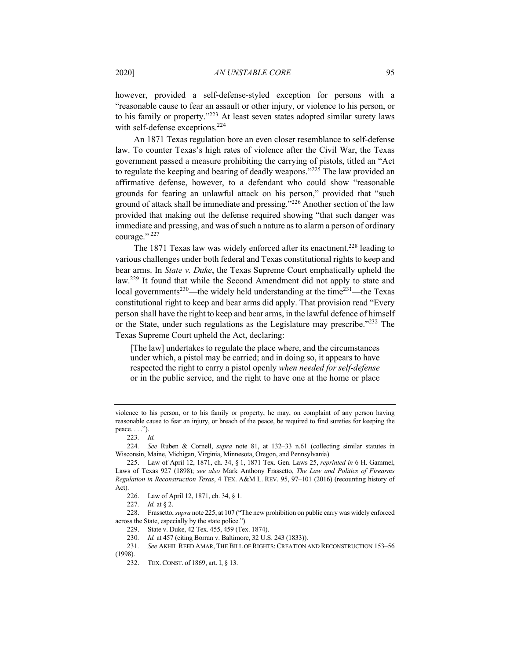however, provided a self-defense-styled exception for persons with a "reasonable cause to fear an assault or other injury, or violence to his person, or to his family or property."223 At least seven states adopted similar surety laws with self-defense exceptions.<sup>224</sup>

An 1871 Texas regulation bore an even closer resemblance to self-defense law. To counter Texas's high rates of violence after the Civil War, the Texas government passed a measure prohibiting the carrying of pistols, titled an "Act to regulate the keeping and bearing of deadly weapons."<sup>225</sup> The law provided an affirmative defense, however, to a defendant who could show "reasonable grounds for fearing an unlawful attack on his person," provided that "such ground of attack shall be immediate and pressing. $^{226}$  Another section of the law provided that making out the defense required showing "that such danger was immediate and pressing, and was of such a nature as to alarm a person of ordinary courage." $^{227}$ 

The 1871 Texas law was widely enforced after its enactment,  $228$  leading to various challenges under both federal and Texas constitutional rights to keep and bear arms. In *State v. Duke*, the Texas Supreme Court emphatically upheld the law.<sup>229</sup> It found that while the Second Amendment did not apply to state and local governments<sup>230</sup>—the widely held understanding at the time<sup>231</sup>—the Texas constitutional right to keep and bear arms did apply. That provision read "Every person shall have the right to keep and bear arms, in the lawful defence of himself or the State, under such regulations as the Legislature may prescribe."<sup>232</sup> The Texas Supreme Court upheld the Act, declaring:

[The law] undertakes to regulate the place where, and the circumstances under which, a pistol may be carried; and in doing so, it appears to have respected the right to carry a pistol openly *when needed for self-defense* or in the public service, and the right to have one at the home or place

229. State v. Duke, 42 Tex. 455, 459 (Tex. 1874).

violence to his person, or to his family or property, he may, on complaint of any person having reasonable cause to fear an injury, or breach of the peace, be required to find sureties for keeping the peace. . . .").

<sup>223</sup>*. Id.*

<sup>224</sup>*. See* Ruben & Cornell, *supra* note 81, at 132–33 n.61 (collecting similar statutes in Wisconsin, Maine, Michigan, Virginia, Minnesota, Oregon, and Pennsylvania).

<sup>225.</sup> Law of April 12, 1871, ch. 34, § 1, 1871 Tex. Gen. Laws 25, *reprinted in* 6 H. Gammel, Laws of Texas 927 (1898); *see also* Mark Anthony Frassetto, *The Law and Politics of Firearms Regulation in Reconstruction Texas*, 4 TEX. A&M L. REV. 95, 97–101 (2016) (recounting history of Act).

<sup>226.</sup> Law of April 12, 1871, ch. 34, § 1.

<sup>227</sup>*. Id.* at § 2.

<sup>228.</sup> Frassetto, *supra* note 225, at 107 ("The new prohibition on public carry was widely enforced across the State, especially by the state police.").

<sup>230</sup>*. Id.* at 457 (citing Borran v. Baltimore, 32 U.S. 243 (1833)).

<sup>231</sup>*. See* AKHIL REED AMAR, THE BILL OF RIGHTS: CREATION AND RECONSTRUCTION 153–56

<sup>(1998).</sup>

<sup>232.</sup> TEX. CONST. of 1869, art. I, § 13.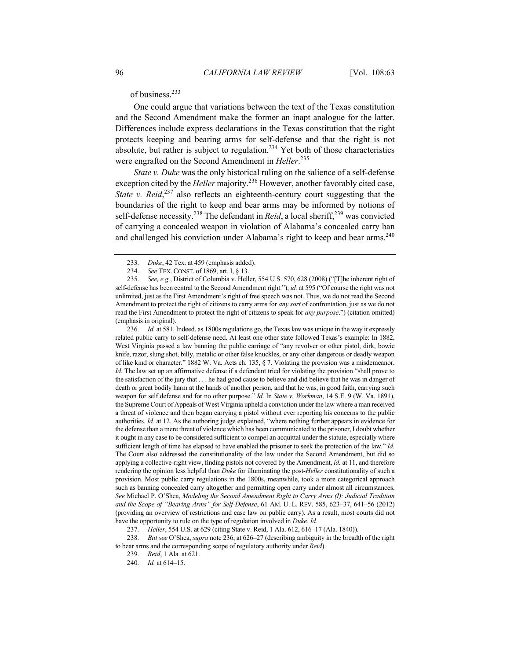of business.<sup>233</sup>

One could argue that variations between the text of the Texas constitution and the Second Amendment make the former an inapt analogue for the latter. Differences include express declarations in the Texas constitution that the right protects keeping and bearing arms for self-defense and that the right is not absolute, but rather is subject to regulation.<sup>234</sup> Yet both of those characteristics were engrafted on the Second Amendment in *Heller*. 235

*State v. Duke* was the only historical ruling on the salience of a self-defense exception cited by the *Heller* majority.<sup>236</sup> However, another favorably cited case, *State v. Reid*<sup>237</sup> also reflects an eighteenth-century court suggesting that the boundaries of the right to keep and bear arms may be informed by notions of self-defense necessity.<sup>238</sup> The defendant in *Reid*, a local sheriff,<sup>239</sup> was convicted of carrying a concealed weapon in violation of Alabama's concealed carry ban and challenged his conviction under Alabama's right to keep and bear arms.<sup>240</sup>

236*. Id.* at 581. Indeed, as 1800s regulations go, the Texas law was unique in the way it expressly related public carry to self-defense need. At least one other state followed Texas's example: In 1882, West Virginia passed a law banning the public carriage of "any revolver or other pistol, dirk, bowie knife, razor, slung shot, billy, metalic or other false knuckles, or any other dangerous or deadly weapon of like kind or character." 1882 W. Va. Acts ch. 135, § 7. Violating the provision was a misdemeanor. *Id.* The law set up an affirmative defense if a defendant tried for violating the provision "shall prove to the satisfaction of the jury that . . . he had good cause to believe and did believe that he was in danger of death or great bodily harm at the hands of another person, and that he was, in good faith, carrying such weapon for self defense and for no other purpose." *Id.* In *State v. Workman*, 14 S.E. 9 (W. Va. 1891), the Supreme Court of Appeals of West Virginia upheld a conviction under the law where a man received a threat of violence and then began carrying a pistol without ever reporting his concerns to the public authorities. *Id.* at 12. As the authoring judge explained, "where nothing further appears in evidence for the defense than a mere threat of violence which has been communicated to the prisoner, I doubt whether it ought in any case to be considered sufficient to compel an acquittal under the statute, especially where sufficient length of time has elapsed to have enabled the prisoner to seek the protection of the law." *Id.* The Court also addressed the constitutionality of the law under the Second Amendment, but did so applying a collective-right view, finding pistols not covered by the Amendment, *id.* at 11, and therefore rendering the opinion less helpful than *Duke* for illuminating the post-*Heller* constitutionality of such a provision. Most public carry regulations in the 1800s, meanwhile, took a more categorical approach such as banning concealed carry altogether and permitting open carry under almost all circumstances. *See* Michael P. O'Shea, *Modeling the Second Amendment Right to Carry Arms (I): Judicial Tradition and the Scope of "Bearing Arms" for Self-Defense*, 61 AM. U. L. REV. 585, 623–37, 641–56 (2012) (providing an overview of restrictions and case law on public carry). As a result, most courts did not have the opportunity to rule on the type of regulation involved in *Duke*. *Id.*

237*. Heller*, 554 U.S. at 629 (citing State v. Reid, 1 Ala. 612, 616–17 (Ala. 1840)).

238*. But see* O'Shea, *supra* note 236, at 626–27 (describing ambiguity in the breadth of the right to bear arms and the corresponding scope of regulatory authority under *Reid*).

239*. Reid*, 1 Ala. at 621.

240*. Id.* at 614–15.

<sup>233</sup>*. Duke*, 42 Tex. at 459 (emphasis added).

<sup>234</sup>*. See* TEX. CONST. of 1869, art. I, § 13.

<sup>235</sup>*. See, e.g.*, District of Columbia v. Heller, 554 U.S. 570, 628 (2008) ("[T]he inherent right of self-defense has been central to the Second Amendment right."); *id.* at 595 ("Of course the right was not unlimited, just as the First Amendment's right of free speech was not. Thus, we do not read the Second Amendment to protect the right of citizens to carry arms for *any sort* of confrontation, just as we do not read the First Amendment to protect the right of citizens to speak for *any purpose*.") (citation omitted) (emphasis in original).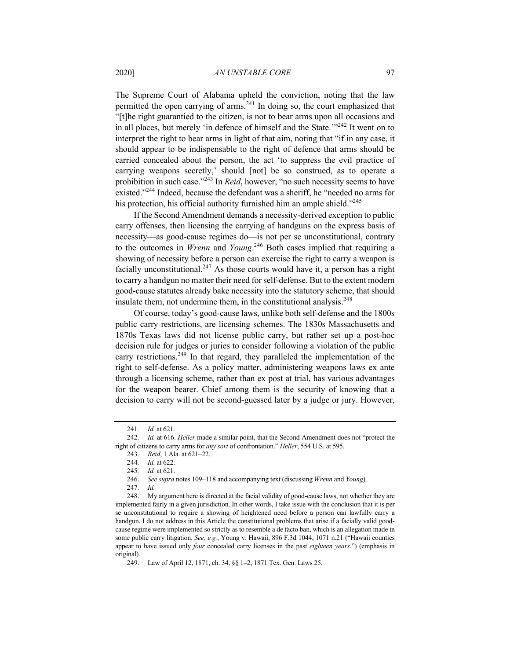The Supreme Court of Alabama upheld the conviction, noting that the law permitted the open carrying of arms.<sup>241</sup> In doing so, the court emphasized that "[t]he right guarantied to the citizen, is not to bear arms upon all occasions and in all places, but merely 'in defence of himself and the State."<sup>242</sup> It went on to interpret the right to bear arms in light of that aim, noting that "if in any case, it should appear to be indispensable to the right of defence that arms should be carried concealed about the person, the act 'to suppress the evil practice of carrying weapons secretly,' should [not] be so construed, as to operate a prohibition in such case."<sup>243</sup> In *Reid*, however, "no such necessity seems to have existed."<sup>244</sup> Indeed, because the defendant was a sheriff, he "needed no arms for his protection, his official authority furnished him an ample shield."<sup>245</sup>

If the Second Amendment demands a necessity-derived exception to public carry offenses, then licensing the carrying of handguns on the express basis of necessity—as good-cause regimes do—is not per se unconstitutional, contrary to the outcomes in *Wrenn* and *Young*. <sup>246</sup> Both cases implied that requiring a showing of necessity before a person can exercise the right to carry a weapon is facially unconstitutional.<sup>247</sup> As those courts would have it, a person has a right to carry a handgun no matter their need for self-defense. But to the extent modern good-cause statutes already bake necessity into the statutory scheme, that should insulate them, not undermine them, in the constitutional analysis. $248$ 

Of course, today's good-cause laws, unlike both self-defense and the 1800s public carry restrictions, are licensing schemes. The 1830s Massachusetts and 1870s Texas laws did not license public carry, but rather set up a post-hoc decision rule for judges or juries to consider following a violation of the public carry restrictions.<sup>249</sup> In that regard, they paralleled the implementation of the right to self-defense. As a policy matter, administering weapons laws ex ante through a licensing scheme, rather than ex post at trial, has various advantages for the weapon bearer. Chief among them is the security of knowing that a decision to carry will not be second-guessed later by a judge or jury. However,

<sup>241</sup>*. Id.* at 621.

<sup>242</sup>*. Id.* at 616. *Heller* made a similar point, that the Second Amendment does not "protect the right of citizens to carry arms for *any sort* of confrontation." *Heller*, 554 U.S. at 595.

<sup>243</sup>*. Reid*, 1 Ala. at 621–22.

<sup>244</sup>*. Id.* at 622.

<sup>245</sup>*. Id.* at 621.

<sup>246</sup>*. See supra* notes 109–118 and accompanying text (discussing *Wrenn* and *Young*).

<sup>247</sup>*. Id.*

<sup>248.</sup> My argument here is directed at the facial validity of good-cause laws, not whether they are implemented fairly in a given jurisdiction. In other words, I take issue with the conclusion that it is per se unconstitutional to require a showing of heightened need before a person can lawfully carry a handgun. I do not address in this Article the constitutional problems that arise if a facially valid goodcause regime were implemented so strictly as to resemble a de facto ban, which is an allegation made in some public carry litigation. *See, e.g.*, Young v. Hawaii, 896 F.3d 1044, 1071 n.21 ("Hawaii counties appear to have issued only *four* concealed carry licenses in the past *eighteen years*.") (emphasis in original).

<sup>249.</sup> Law of April 12, 1871, ch. 34, §§ 1–2, 1871 Tex. Gen. Laws 25.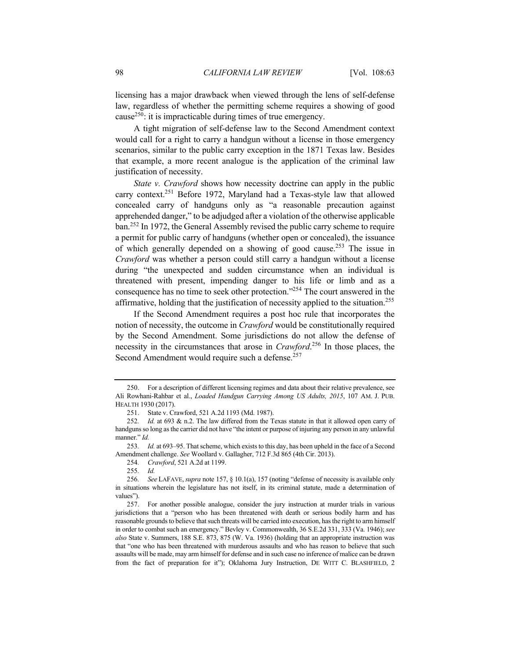licensing has a major drawback when viewed through the lens of self-defense law, regardless of whether the permitting scheme requires a showing of good cause<sup>250</sup>: it is impracticable during times of true emergency.

A tight migration of self-defense law to the Second Amendment context would call for a right to carry a handgun without a license in those emergency scenarios, similar to the public carry exception in the 1871 Texas law. Besides that example, a more recent analogue is the application of the criminal law justification of necessity.

*State v. Crawford* shows how necessity doctrine can apply in the public carry context.<sup>251</sup> Before 1972, Maryland had a Texas-style law that allowed concealed carry of handguns only as "a reasonable precaution against apprehended danger," to be adjudged after a violation of the otherwise applicable ban.<sup>252</sup> In 1972, the General Assembly revised the public carry scheme to require a permit for public carry of handguns (whether open or concealed), the issuance of which generally depended on a showing of good cause.<sup>253</sup> The issue in *Crawford* was whether a person could still carry a handgun without a license during "the unexpected and sudden circumstance when an individual is threatened with present, impending danger to his life or limb and as a consequence has no time to seek other protection."<sup>254</sup> The court answered in the affirmative, holding that the justification of necessity applied to the situation.<sup>255</sup>

If the Second Amendment requires a post hoc rule that incorporates the notion of necessity, the outcome in *Crawford* would be constitutionally required by the Second Amendment. Some jurisdictions do not allow the defense of necessity in the circumstances that arose in *Crawford*. <sup>256</sup> In those places, the Second Amendment would require such a defense.<sup>257</sup>

<sup>250.</sup> For a description of different licensing regimes and data about their relative prevalence, see Ali Rowhani-Rahbar et al., *Loaded Handgun Carrying Among US Adults, 2015*, 107 AM. J. PUB. HEALTH 1930 (2017).

<sup>251.</sup> State v. Crawford, 521 A.2d 1193 (Md. 1987).

<sup>252</sup>*. Id.* at 693 & n.2. The law differed from the Texas statute in that it allowed open carry of handguns so long as the carrier did not have "the intent or purpose of injuring any person in any unlawful manner." *Id.*

<sup>253</sup>*. Id.* at 693–95. That scheme, which exists to this day, has been upheld in the face of a Second Amendment challenge. *See* Woollard v. Gallagher, 712 F.3d 865 (4th Cir. 2013).

<sup>254</sup>*. Crawford*, 521 A.2d at 1199.

<sup>255</sup>*. Id.*

<sup>256</sup>*. See* LAFAVE,*supra* note 157, § 10.1(a), 157 (noting "defense of necessity is available only in situations wherein the legislature has not itself, in its criminal statute, made a determination of values").

<sup>257.</sup> For another possible analogue, consider the jury instruction at murder trials in various jurisdictions that a "person who has been threatened with death or serious bodily harm and has reasonable grounds to believe that such threats will be carried into execution, has the right to arm himself in order to combat such an emergency." Bevley v. Commonwealth, 36 S.E.2d 331, 333 (Va. 1946); *see also* State v. Summers, 188 S.E. 873, 875 (W. Va. 1936) (holding that an appropriate instruction was that "one who has been threatened with murderous assaults and who has reason to believe that such assaults will be made, may arm himself for defense and in such case no inference of malice can be drawn from the fact of preparation for it"); Oklahoma Jury Instruction, DE WITT C. BLASHFIELD, 2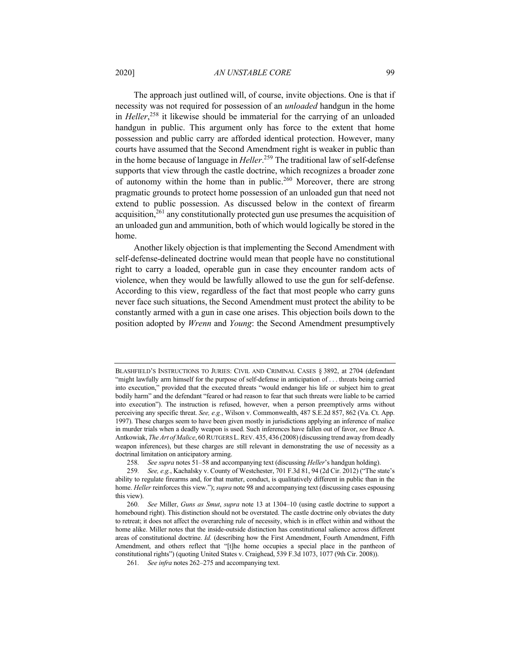## 2020] *AN UNSTABLE CORE* 99

The approach just outlined will, of course, invite objections. One is that if necessity was not required for possession of an *unloaded* handgun in the home in *Heller*, <sup>258</sup> it likewise should be immaterial for the carrying of an unloaded handgun in public. This argument only has force to the extent that home possession and public carry are afforded identical protection. However, many courts have assumed that the Second Amendment right is weaker in public than in the home because of language in *Heller*. <sup>259</sup> The traditional law of self-defense supports that view through the castle doctrine, which recognizes a broader zone of autonomy within the home than in public.<sup>260</sup> Moreover, there are strong pragmatic grounds to protect home possession of an unloaded gun that need not extend to public possession. As discussed below in the context of firearm acquisition,  $261$  any constitutionally protected gun use presumes the acquisition of an unloaded gun and ammunition, both of which would logically be stored in the home.

Another likely objection is that implementing the Second Amendment with self-defense-delineated doctrine would mean that people have no constitutional right to carry a loaded, operable gun in case they encounter random acts of violence, when they would be lawfully allowed to use the gun for self-defense. According to this view, regardless of the fact that most people who carry guns never face such situations, the Second Amendment must protect the ability to be constantly armed with a gun in case one arises. This objection boils down to the position adopted by *Wrenn* and *Young*: the Second Amendment presumptively

BLASHFIELD'S INSTRUCTIONS TO JURIES: CIVIL AND CRIMINAL CASES § 3892, at 2704 (defendant "might lawfully arm himself for the purpose of self-defense in anticipation of . . . threats being carried into execution," provided that the executed threats "would endanger his life or subject him to great bodily harm" and the defendant "feared or had reason to fear that such threats were liable to be carried into execution"). The instruction is refused, however, when a person preemptively arms without perceiving any specific threat. *See, e.g.*, Wilson v. Commonwealth, 487 S.E.2d 857, 862 (Va. Ct. App. 1997). These charges seem to have been given mostly in jurisdictions applying an inference of malice in murder trials when a deadly weapon is used. Such inferences have fallen out of favor, *see* Bruce A. Antkowiak, *The Art of Malice*, 60 RUTGERS L.REV. 435, 436 (2008) (discussing trend away from deadly weapon inferences), but these charges are still relevant in demonstrating the use of necessity as a doctrinal limitation on anticipatory arming.

<sup>258</sup>*. See supra* notes 51–58 and accompanying text (discussing *Heller*'s handgun holding).

<sup>259</sup>*. See, e.g.*, Kachalsky v. County of Westchester, 701 F.3d 81, 94 (2d Cir. 2012) ("The state's ability to regulate firearms and, for that matter, conduct, is qualitatively different in public than in the home. *Heller* reinforces this view."); *supra* note 98 and accompanying text (discussing cases espousing this view).

<sup>260</sup>*. See* Miller, *Guns as Smut*, *supra* note 13 at 1304–10 (using castle doctrine to support a homebound right). This distinction should not be overstated. The castle doctrine only obviates the duty to retreat; it does not affect the overarching rule of necessity, which is in effect within and without the home alike. Miller notes that the inside-outside distinction has constitutional salience across different areas of constitutional doctrine. *Id.* (describing how the First Amendment, Fourth Amendment, Fifth Amendment, and others reflect that "[t]he home occupies a special place in the pantheon of constitutional rights") (quoting United States v. Craighead, 539 F.3d 1073, 1077 (9th Cir. 2008)).

<sup>261</sup>*. See infra* notes 262–275 and accompanying text.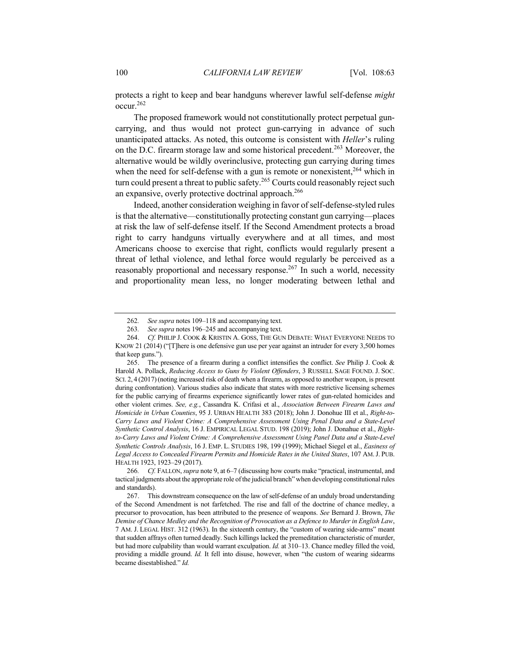protects a right to keep and bear handguns wherever lawful self-defense *might* occur.262

The proposed framework would not constitutionally protect perpetual guncarrying, and thus would not protect gun-carrying in advance of such unanticipated attacks. As noted, this outcome is consistent with *Heller*'s ruling on the D.C. firearm storage law and some historical precedent.<sup>263</sup> Moreover, the alternative would be wildly overinclusive, protecting gun carrying during times when the need for self-defense with a gun is remote or nonexistent,  $264$  which in turn could present a threat to public safety.<sup>265</sup> Courts could reasonably reject such an expansive, overly protective doctrinal approach.<sup>266</sup>

Indeed, another consideration weighing in favor of self-defense-styled rules is that the alternative—constitutionally protecting constant gun carrying—places at risk the law of self-defense itself. If the Second Amendment protects a broad right to carry handguns virtually everywhere and at all times, and most Americans choose to exercise that right, conflicts would regularly present a threat of lethal violence, and lethal force would regularly be perceived as a reasonably proportional and necessary response.<sup>267</sup> In such a world, necessity and proportionality mean less, no longer moderating between lethal and

<sup>262</sup>*. See supra* notes 109–118 and accompanying text.

<sup>263</sup>*. See supra* notes 196–245 and accompanying text.

<sup>264.</sup> *Cf.* PHILIP J. COOK & KRISTIN A. GOSS, THE GUN DEBATE: WHAT EVERYONE NEEDS TO KNOW 21 (2014) ("[T]here is one defensive gun use per year against an intruder for every 3,500 homes that keep guns.").

<sup>265.</sup> The presence of a firearm during a conflict intensifies the conflict. *See* Philip J. Cook & Harold A. Pollack, *Reducing Access to Guns by Violent Offenders*, 3 RUSSELL SAGE FOUND. J. SOC. SCI. 2, 4 (2017)(noting increased risk of death when a firearm, as opposed to another weapon, is present during confrontation). Various studies also indicate that states with more restrictive licensing schemes for the public carrying of firearms experience significantly lower rates of gun-related homicides and other violent crimes. *See, e.g.*, Cassandra K. Crifasi et al., *Association Between Firearm Laws and Homicide in Urban Counties*, 95 J. URBAN HEALTH 383 (2018); John J. Donohue III et al., *Right-to-Carry Laws and Violent Crime: A Comprehensive Assessment Using Penal Data and a State-Level Synthetic Control Analysis*, 16 J. EMPIRICAL LEGAL STUD. 198 (2019); John J. Donahue et al., *Rightto-Carry Laws and Violent Crime: A Comprehensive Assessment Using Panel Data and a State-Level Synthetic Controls Analysis*, 16 J. EMP. L. STUDIES 198, 199 (1999); Michael Siegel et al., *Easiness of Legal Access to Concealed Firearm Permits and Homicide Rates in the United States*, 107 AM.J. PUB. HEALTH 1923, 1923–29 (2017).

<sup>266</sup>*. Cf.* FALLON, *supra* note 9, at 6–7 (discussing how courts make "practical, instrumental, and tactical judgments about the appropriate role of the judicial branch" when developing constitutional rules and standards).

<sup>267.</sup> This downstream consequence on the law of self-defense of an unduly broad understanding of the Second Amendment is not farfetched. The rise and fall of the doctrine of chance medley, a precursor to provocation, has been attributed to the presence of weapons. *See* Bernard J. Brown, *The Demise of Chance Medley and the Recognition of Provocation as a Defence to Murder in English Law*, 7 AM. J. LEGAL HIST. 312 (1963). In the sixteenth century, the "custom of wearing side-arms" meant that sudden affrays often turned deadly. Such killings lacked the premeditation characteristic of murder, but had more culpability than would warrant exculpation. *Id.* at 310–13. Chance medley filled the void, providing a middle ground. *Id.* It fell into disuse, however, when "the custom of wearing sidearms became disestablished." *Id.*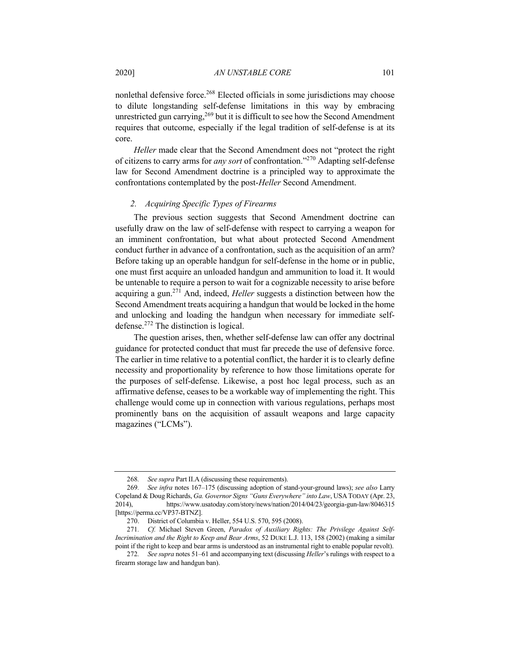nonlethal defensive force.<sup>268</sup> Elected officials in some jurisdictions may choose to dilute longstanding self-defense limitations in this way by embracing unrestricted gun carrying,  $269$  but it is difficult to see how the Second Amendment requires that outcome, especially if the legal tradition of self-defense is at its core.

*Heller* made clear that the Second Amendment does not "protect the right of citizens to carry arms for *any sort* of confrontation."<sup>270</sup> Adapting self-defense law for Second Amendment doctrine is a principled way to approximate the confrontations contemplated by the post-*Heller* Second Amendment.

## *2. Acquiring Specific Types of Firearms*

The previous section suggests that Second Amendment doctrine can usefully draw on the law of self-defense with respect to carrying a weapon for an imminent confrontation, but what about protected Second Amendment conduct further in advance of a confrontation, such as the acquisition of an arm? Before taking up an operable handgun for self-defense in the home or in public, one must first acquire an unloaded handgun and ammunition to load it. It would be untenable to require a person to wait for a cognizable necessity to arise before acquiring a gun.271 And, indeed, *Heller* suggests a distinction between how the Second Amendment treats acquiring a handgun that would be locked in the home and unlocking and loading the handgun when necessary for immediate selfdefense. $272$  The distinction is logical.

The question arises, then, whether self-defense law can offer any doctrinal guidance for protected conduct that must far precede the use of defensive force. The earlier in time relative to a potential conflict, the harder it is to clearly define necessity and proportionality by reference to how those limitations operate for the purposes of self-defense. Likewise, a post hoc legal process, such as an affirmative defense, ceases to be a workable way of implementing the right. This challenge would come up in connection with various regulations, perhaps most prominently bans on the acquisition of assault weapons and large capacity magazines ("LCMs").

<sup>268</sup>*. See supra* Part II.A (discussing these requirements).

<sup>269</sup>*. See infra* notes 167–175 (discussing adoption of stand-your-ground laws); *see also* Larry Copeland & Doug Richards, *Ga. Governor Signs "Guns Everywhere" into Law*, USA TODAY (Apr. 23, 2014), https://www.usatoday.com/story/news/nation/2014/04/23/georgia-gun-law/8046315 [https://perma.cc/VP37-BTNZ].

<sup>270.</sup> District of Columbia v. Heller, 554 U.S. 570, 595 (2008).

<sup>271</sup>*. Cf.* Michael Steven Green, *Paradox of Auxiliary Rights: The Privilege Against Self-Incrimination and the Right to Keep and Bear Arms*, 52 DUKE L.J. 113, 158 (2002) (making a similar point if the right to keep and bear arms is understood as an instrumental right to enable popular revolt).

<sup>272</sup>*. See supra* notes 51–61 and accompanying text (discussing *Heller*'s rulings with respect to a firearm storage law and handgun ban).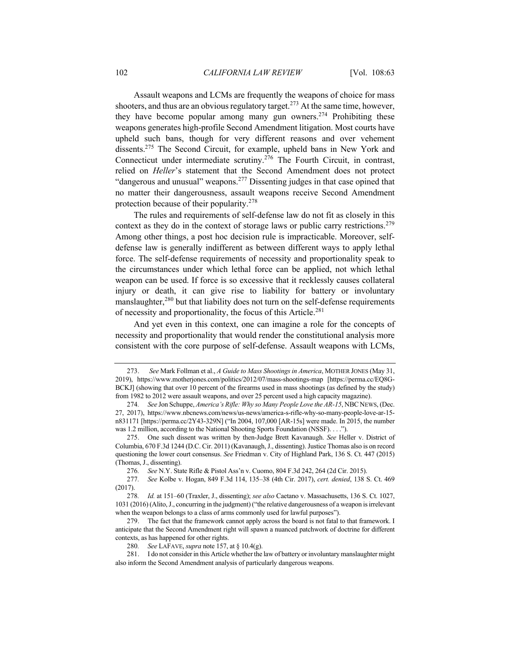Assault weapons and LCMs are frequently the weapons of choice for mass shooters, and thus are an obvious regulatory target.<sup>273</sup> At the same time, however, they have become popular among many gun owners.<sup>274</sup> Prohibiting these weapons generates high-profile Second Amendment litigation. Most courts have upheld such bans, though for very different reasons and over vehement dissents.275 The Second Circuit, for example, upheld bans in New York and Connecticut under intermediate scrutiny.<sup>276</sup> The Fourth Circuit, in contrast, relied on *Heller*'s statement that the Second Amendment does not protect "dangerous and unusual" weapons.<sup>277</sup> Dissenting judges in that case opined that no matter their dangerousness, assault weapons receive Second Amendment protection because of their popularity.<sup>278</sup>

The rules and requirements of self-defense law do not fit as closely in this context as they do in the context of storage laws or public carry restrictions.<sup>279</sup> Among other things, a post hoc decision rule is impracticable. Moreover, selfdefense law is generally indifferent as between different ways to apply lethal force. The self-defense requirements of necessity and proportionality speak to the circumstances under which lethal force can be applied, not which lethal weapon can be used. If force is so excessive that it recklessly causes collateral injury or death, it can give rise to liability for battery or involuntary manslaughter,  $280$  but that liability does not turn on the self-defense requirements of necessity and proportionality, the focus of this Article.281

And yet even in this context, one can imagine a role for the concepts of necessity and proportionality that would render the constitutional analysis more consistent with the core purpose of self-defense. Assault weapons with LCMs,

<sup>273.</sup> *See* Mark Follman et al., *A Guide to Mass Shootings in America*, MOTHER JONES (May 31, 2019), https://www.motherjones.com/politics/2012/07/mass-shootings-map [https://perma.cc/EQ8G-BCKJ] (showing that over 10 percent of the firearms used in mass shootings (as defined by the study) from 1982 to 2012 were assault weapons, and over 25 percent used a high capacity magazine).

<sup>274</sup>*. See* Jon Schuppe, *America's Rifle: Why so Many People Love the AR-15*, NBC NEWS, (Dec. 27, 2017), https://www.nbcnews.com/news/us-news/america-s-rifle-why-so-many-people-love-ar-15 n831171 [https://perma.cc/2Y43-329N] ("In 2004, 107,000 [AR-15s] were made. In 2015, the number was 1.2 million, according to the National Shooting Sports Foundation (NSSF). . . .").

<sup>275.</sup> One such dissent was written by then-Judge Brett Kavanaugh. *See* Heller v. District of Columbia, 670 F.3d 1244 (D.C. Cir. 2011) (Kavanaugh, J., dissenting).Justice Thomas also is on record questioning the lower court consensus. *See* Friedman v. City of Highland Park, 136 S. Ct. 447 (2015) (Thomas, J., dissenting).

<sup>276</sup>*. See* N.Y. State Rifle & Pistol Ass'n v. Cuomo, 804 F.3d 242, 264 (2d Cir. 2015).

<sup>277</sup>*. See* Kolbe v. Hogan, 849 F.3d 114, 135–38 (4th Cir. 2017), *cert. denied*, 138 S. Ct. 469 (2017).

<sup>278</sup>*. Id.* at 151–60 (Traxler, J., dissenting); *see also* Caetano v. Massachusetts, 136 S. Ct. 1027, 1031 (2016) (Alito, J., concurring in the judgment) ("the relative dangerousness of a weapon is irrelevant when the weapon belongs to a class of arms commonly used for lawful purposes").

<sup>279.</sup> The fact that the framework cannot apply across the board is not fatal to that framework. I anticipate that the Second Amendment right will spawn a nuanced patchwork of doctrine for different contexts, as has happened for other rights.

<sup>280</sup>*. See* LAFAVE, *supra* note 157, at § 10.4(g).

<sup>281.</sup> I do not consider in this Article whether the law of battery or involuntary manslaughter might also inform the Second Amendment analysis of particularly dangerous weapons.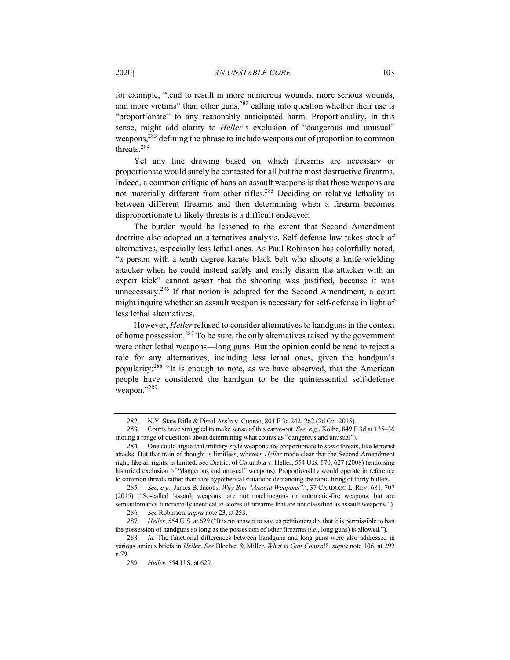for example, "tend to result in more numerous wounds, more serious wounds, and more victims" than other guns,  $282$  calling into question whether their use is "proportionate" to any reasonably anticipated harm. Proportionality, in this sense, might add clarity to *Heller*'s exclusion of "dangerous and unusual" weapons,<sup>283</sup> defining the phrase to include weapons out of proportion to common threats.<sup>284</sup>

Yet any line drawing based on which firearms are necessary or proportionate would surely be contested for all but the most destructive firearms. Indeed, a common critique of bans on assault weapons is that those weapons are not materially different from other rifles.<sup>285</sup> Deciding on relative lethality as between different firearms and then determining when a firearm becomes disproportionate to likely threats is a difficult endeavor.

The burden would be lessened to the extent that Second Amendment doctrine also adopted an alternatives analysis. Self-defense law takes stock of alternatives, especially less lethal ones. As Paul Robinson has colorfully noted, "a person with a tenth degree karate black belt who shoots a knife-wielding attacker when he could instead safely and easily disarm the attacker with an expert kick" cannot assert that the shooting was justified, because it was unnecessary.<sup>286</sup> If that notion is adapted for the Second Amendment, a court might inquire whether an assault weapon is necessary for self-defense in light of less lethal alternatives.

However, *Heller* refused to consider alternatives to handguns in the context of home possession.<sup>287</sup> To be sure, the only alternatives raised by the government were other lethal weapons—long guns. But the opinion could be read to reject a role for any alternatives, including less lethal ones, given the handgun's popularity:288 "It is enough to note, as we have observed, that the American people have considered the handgun to be the quintessential self-defense weapon."<sup>289</sup>

<sup>282.</sup> N.Y. State Rifle & Pistol Ass'n v. Cuomo, 804 F.3d 242, 262 (2d Cir. 2015).

<sup>283.</sup> Courts have struggled to make sense of this carve-out. *See, e.g.*, Kolbe, 849 F.3d at 135–36 (noting a range of questions about determining what counts as "dangerous and unusual").

<sup>284.</sup> One could argue that military-style weapons are proportionate to *some* threats, like terrorist attacks. But that train of thought is limitless, whereas *Heller* made clear that the Second Amendment right, like all rights, is limited. *See* District of Columbia v. Heller, 554 U.S. 570, 627 (2008) (endorsing historical exclusion of "dangerous and unusual" weapons). Proportionality would operate in reference to common threats rather than rare hypothetical situations demanding the rapid firing of thirty bullets.

<sup>285</sup>*. See, e.g.*, James B. Jacobs, *Why Ban "Assault Weapons"?*, 37 CARDOZO L. REV. 681, 707 (2015) ("So-called 'assault weapons' are not machineguns or automatic-fire weapons, but are semiautomatics functionally identical to scores of firearms that are not classified as assault weapons.").

<sup>286</sup>*. See* Robinson, *supra* note 23, at 253.

<sup>287</sup>*. Heller*, 554 U.S. at 629 ("It is no answer to say, as petitioners do, that it is permissible to ban the possession of handguns so long as the possession of other firearms (*i.e.*, long guns) is allowed.").

<sup>288</sup>*. Id.* The functional differences between handguns and long guns were also addressed in various amicus briefs in *Heller*. *See* Blocher & Miller, *What is Gun Control?*, *supra* note 106, at 292 n.79.

<sup>289</sup>*. Heller*, 554 U.S. at 629.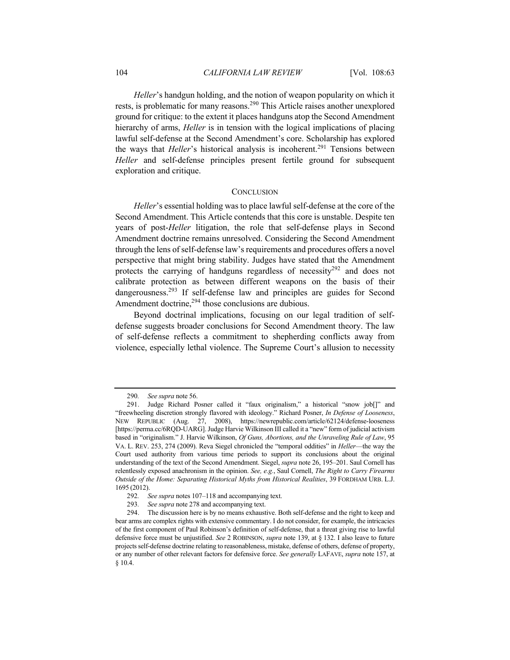*Heller*'s handgun holding, and the notion of weapon popularity on which it rests, is problematic for many reasons.<sup>290</sup> This Article raises another unexplored ground for critique: to the extent it places handguns atop the Second Amendment hierarchy of arms, *Heller* is in tension with the logical implications of placing lawful self-defense at the Second Amendment's core. Scholarship has explored the ways that *Heller*'s historical analysis is incoherent.<sup>291</sup> Tensions between *Heller* and self-defense principles present fertile ground for subsequent exploration and critique.

#### **CONCLUSION**

*Heller*'s essential holding was to place lawful self-defense at the core of the Second Amendment. This Article contends that this core is unstable. Despite ten years of post-*Heller* litigation, the role that self-defense plays in Second Amendment doctrine remains unresolved. Considering the Second Amendment through the lens of self-defense law's requirements and procedures offers a novel perspective that might bring stability. Judges have stated that the Amendment protects the carrying of handguns regardless of necessity<sup>292</sup> and does not calibrate protection as between different weapons on the basis of their dangerousness.<sup>293</sup> If self-defense law and principles are guides for Second Amendment doctrine,<sup>294</sup> those conclusions are dubious.

Beyond doctrinal implications, focusing on our legal tradition of selfdefense suggests broader conclusions for Second Amendment theory. The law of self-defense reflects a commitment to shepherding conflicts away from violence, especially lethal violence. The Supreme Court's allusion to necessity

<sup>290</sup>*. See supra* note 56.

<sup>291.</sup> Judge Richard Posner called it "faux originalism," a historical "snow job[]" and "freewheeling discretion strongly flavored with ideology." Richard Posner, *In Defense of Looseness*, NEW REPUBLIC (Aug. 27, 2008), https://newrepublic.com/article/62124/defense-looseness [https://perma.cc/6RQD-UARG]. Judge Harvie Wilkinson III called it a "new" form of judicial activism based in "originalism." J. Harvie Wilkinson, *Of Guns, Abortions, and the Unraveling Rule of Law*, 95 VA. L. REV. 253, 274 (2009). Reva Siegel chronicled the "temporal oddities" in *Heller*—the way the Court used authority from various time periods to support its conclusions about the original understanding of the text of the Second Amendment. Siegel, *supra* note 26, 195–201. Saul Cornell has relentlessly exposed anachronism in the opinion. *See, e.g.*, Saul Cornell, *The Right to Carry Firearms Outside of the Home: Separating Historical Myths from Historical Realities*, 39 FORDHAM URB. L.J. 1695 (2012).

<sup>292</sup>*. See supra* notes 107–118 and accompanying text.

<sup>293</sup>*. See supra* note 278 and accompanying text.

<sup>294.</sup> The discussion here is by no means exhaustive. Both self-defense and the right to keep and bear arms are complex rights with extensive commentary. I do not consider, for example, the intricacies of the first component of Paul Robinson's definition of self-defense, that a threat giving rise to lawful defensive force must be unjustified. *See* 2 ROBINSON, *supra* note 139, at § 132. I also leave to future projects self-defense doctrine relating to reasonableness, mistake, defense of others, defense of property, or any number of other relevant factors for defensive force. *See generally* LAFAVE, *supra* note 157, at § 10.4.